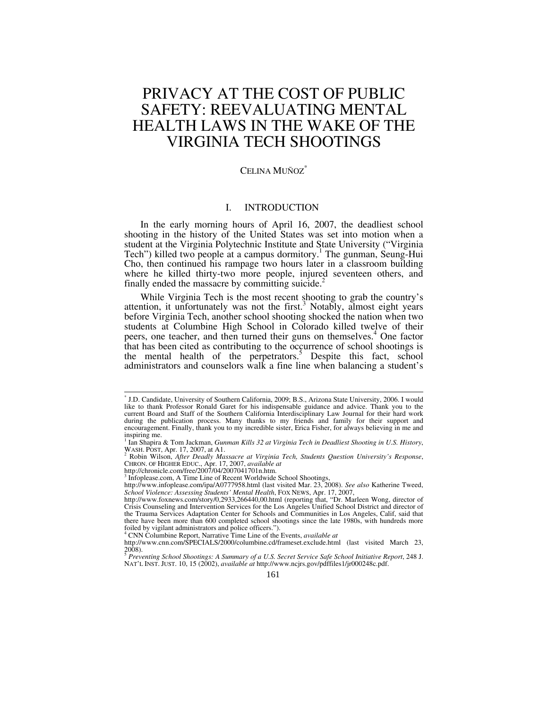# PRIVACY AT THE COST OF PUBLIC SAFETY: REEVALUATING MENTAL HEALTH LAWS IN THE WAKE OF THE VIRGINIA TECH SHOOTINGS

# CELINA MUÑOZ<sup>\*</sup>

# I. INTRODUCTION

In the early morning hours of April 16, 2007, the deadliest school shooting in the history of the United States was set into motion when a student at the Virginia Polytechnic Institute and State University ("Virginia Tech") killed two people at a campus dormitory.<sup>1</sup> The gunman, Seung-Hui Cho, then continued his rampage two hours later in a classroom building where he killed thirty-two more people, injured seventeen others, and finally ended the massacre by committing suicide. $<sup>2</sup>$ </sup>

While Virginia Tech is the most recent shooting to grab the country's attention, it unfortunately was not the first.<sup>3</sup> Notably, almost eight years before Virginia Tech, another school shooting shocked the nation when two students at Columbine High School in Colorado killed twelve of their peers, one teacher, and then turned their guns on themselves.<sup>4</sup> One factor that has been cited as contributing to the occurrence of school shootings is the mental health of the perpetrators.<sup>5</sup> Despite this fact, school administrators and counselors walk a fine line when balancing a student's

 <sup>\*</sup>  $*$  J.D. Candidate, University of Southern California, 2009; B.S., Arizona State University, 2006. I would like to thank Professor Ronald Garet for his indispensable guidance and advice. Thank you to the current Board and Staff of the Southern California Interdisciplinary Law Journal for their hard work during the publication process. Many thanks to my friends and family for their support and encouragement. Finally, thank you to my incredible sister, Erica Fisher, for always believing in me and inspiring me. 1

Ian Shapira & Tom Jackman, *Gunman Kills 32 at Virginia Tech in Deadliest Shooting in U.S. History*, WASH. POST, Apr. 17, 2007, at A1. 2 Robin Wilson, *After Deadly Massacre at Virginia Tech, Students Question University's Response*,

CHRON. OF HIGHER EDUC., Apr. 17, 2007, *available at*

http://chronicle.com/free/2007/04/2007041701n.htm. 3

Infoplease.com, A Time Line of Recent Worldwide School Shootings, http://www.infoplease.com/ipa/A0777958.html (last visited Mar. 23, 2008). *See also* Katherine Tweed, *School Violence: Assessing Students' Mental Health*, FOX NEWS, Apr. 17, 2007,

http://www.foxnews.com/story/0,2933,266440,00.html (reporting that, "Dr. Marleen Wong, director of Crisis Counseling and Intervention Services for the Los Angeles Unified School District and director of the Trauma Services Adaptation Center for Schools and Communities in Los Angeles, Calif, said that there have been more than 600 completed school shootings since the late 1980s, with hundreds more foiled by vigilant administrators and police officers.").

<sup>4</sup> CNN Columbine Report, Narrative Time Line of the Events, *available at* 

http://www.cnn.com/SPECIALS/2000/columbine.cd/frameset.exclude.html (last visited March 23, 2008). <sup>5</sup> *Preventing School Shootings: A Summary of a U.S. Secret Service Safe School Initiative Report*, 248 J.

NAT'L INST. JUST. 10, 15 (2002), *available at* http://www.ncjrs.gov/pdffiles1/jr000248c.pdf.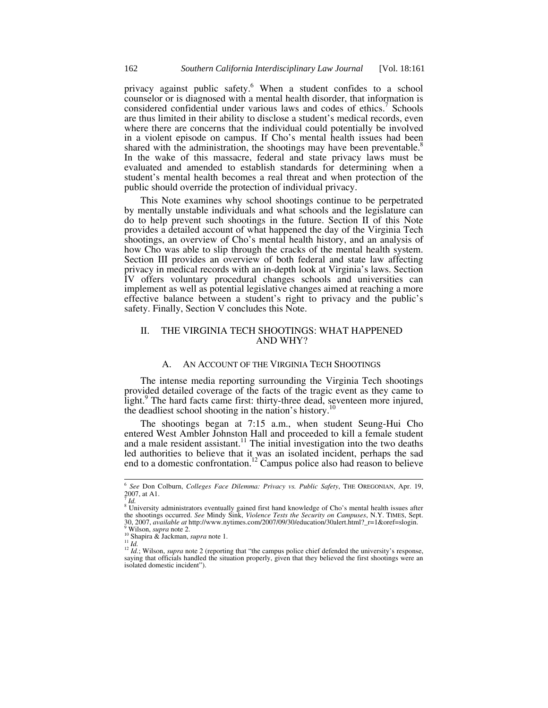privacy against public safety.<sup>6</sup> When a student confides to a school counselor or is diagnosed with a mental health disorder, that information is considered confidential under various laws and codes of ethics.<sup>7</sup> Schools are thus limited in their ability to disclose a student's medical records, even where there are concerns that the individual could potentially be involved in a violent episode on campus. If Cho's mental health issues had been shared with the administration, the shootings may have been preventable.<sup>8</sup> In the wake of this massacre, federal and state privacy laws must be evaluated and amended to establish standards for determining when a student's mental health becomes a real threat and when protection of the public should override the protection of individual privacy.

This Note examines why school shootings continue to be perpetrated by mentally unstable individuals and what schools and the legislature can do to help prevent such shootings in the future. Section II of this Note provides a detailed account of what happened the day of the Virginia Tech shootings, an overview of Cho's mental health history, and an analysis of how Cho was able to slip through the cracks of the mental health system. Section III provides an overview of both federal and state law affecting privacy in medical records with an in-depth look at Virginia's laws. Section IV offers voluntary procedural changes schools and universities can implement as well as potential legislative changes aimed at reaching a more effective balance between a student's right to privacy and the public's safety. Finally, Section V concludes this Note.

# II. THE VIRGINIA TECH SHOOTINGS: WHAT HAPPENED AND WHY?

#### A. AN ACCOUNT OF THE VIRGINIA TECH SHOOTINGS

The intense media reporting surrounding the Virginia Tech shootings provided detailed coverage of the facts of the tragic event as they came to light.<sup>9</sup> The hard facts came first: thirty-three dead, seventeen more injured, the deadliest school shooting in the nation's history.<sup>10</sup>

The shootings began at 7:15 a.m., when student Seung-Hui Cho entered West Ambler Johnston Hall and proceeded to kill a female student and a male resident assistant.<sup>11</sup> The initial investigation into the two deaths led authorities to believe that it was an isolated incident, perhaps the sad end to a domestic confrontation.<sup>12</sup> Campus police also had reason to believe

 <sup>6</sup> *See* Don Colburn, *Colleges Face Dilemma: Privacy vs. Public Safety*, THE OREGONIAN, Apr. 19, 2007, at A1.

<sup>7</sup> *Id.*

<sup>&</sup>lt;sup>8</sup> University administrators eventually gained first hand knowledge of Cho's mental health issues after the shootings occurred. *See* Mindy Sink, *Violence Tests the Security on Campuses*, N.Y. TIMES, Sept. 30, 2007, *available at* http://www.nytimes.com/2007/09/30/education/30alert.html?\_r=1&oref=slogin. 9

Wilson, *supra* note 2.<br>
<sup>11</sup> *Id.*<br>
<sup>12</sup> *Id.*; Wilson, *supra* note 2 (reporting that "the campus police chief defended the university's response, saying that officials handled the situation properly, given that they believed the first shootings were an isolated domestic incident").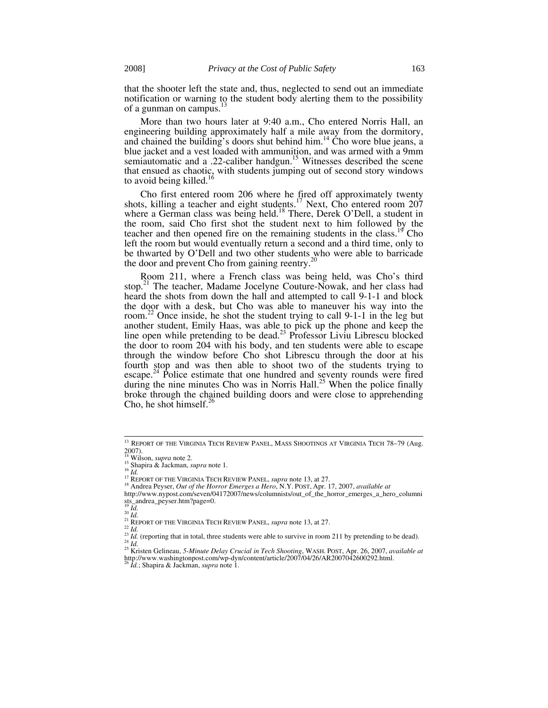that the shooter left the state and, thus, neglected to send out an immediate notification or warning to the student body alerting them to the possibility of a gunman on campus.<sup>13</sup>

More than two hours later at 9:40 a.m., Cho entered Norris Hall, an engineering building approximately half a mile away from the dormitory, and chained the building's doors shut behind him.<sup>14</sup> Cho wore blue jeans, a blue jacket and a vest loaded with ammunition, and was armed with a 9mm semiautomatic and a .22-caliber handgun.<sup>15</sup> Witnesses described the scene that ensued as chaotic, with students jumping out of second story windows to avoid being killed. $<sup>1</sup>$ </sup>

Cho first entered room 206 where he fired off approximately twenty shots, killing a teacher and eight students.<sup>17</sup> Next, Cho entered room 207 where a German class was being held.<sup>18</sup> There, Derek O'Dell, a student in the room, said Cho first shot the student next to him followed by the teacher and then opened fire on the remaining students in the class.<sup>19</sup> Cho left the room but would eventually return a second and a third time, only to be thwarted by O'Dell and two other students who were able to barricade the door and prevent Cho from gaining reentry.<sup>20</sup>

Room 211, where a French class was being held, was Cho's third stop.<sup>21</sup> The teacher, Madame Jocelyne Couture-Nowak, and her class had heard the shots from down the hall and attempted to call 9-1-1 and block the door with a desk, but Cho was able to maneuver his way into the room.<sup>22</sup> Once inside, he shot the student trying to call 9-1-1 in the leg but another student, Emily Haas, was able to pick up the phone and keep the line open while pretending to be dead. $^{23}$  Professor Liviu Librescu blocked the door to room 204 with his body, and ten students were able to escape through the window before Cho shot Librescu through the door at his fourth stop and was then able to shoot two of the students trying to escape. $24$  Police estimate that one hundred and seventy rounds were fired during the nine minutes Cho was in Norris Hall.<sup>25</sup> When the police finally broke through the chained building doors and were close to apprehending Cho, he shot himself. $^{26}$ 

<sup>15</sup> Shapira & Jackman, *supra* note 1.<br><sup>16</sup> Id.<br><sup>17</sup> REPORT OF THE VIRGINIA TECH REVIEW PANEL, *supra* note 13, at 27.<br><sup>17</sup> REPORT OF THE VIRGINIA TECH REVIEW PANEL, *supra* note 13, at 27.<br><sup>18</sup> Andrea Peyser, *Out of th* 

<sup>&</sup>lt;sup>13</sup> REPORT OF THE VIRGINIA TECH REVIEW PANEL, MASS SHOOTINGS AT VIRGINIA TECH 78-79 (Aug.  $2007$ ).<br><sup>14</sup> Wilson, *supra* note 2.

http://www.nypost.com/seven/04172007/news/columnists/out\_of\_the\_horror\_emerges\_a\_hero\_columni sts\_andrea\_peyser.htm?page=0.

<sup>&</sup>lt;sup>21</sup> *Id.*<br>
<sup>21</sup> *Id.*<br>
<sup>21</sup> REPORT OF THE VIRGINIA TECH REVIEW PANEL, *supra* note 13, at 27.<br>
<sup>22</sup> *Id.*<br>
<sup>23</sup> *Id.* (reporting that in total, three students were able to survive in room 211 by pretending to be dead).<br>

http://www.washingtonpost.com/wp-dyn/content/article/2007/04/26/AR2007042600292.html. 26 *Id.*; Shapira & Jackman, *supra* note 1.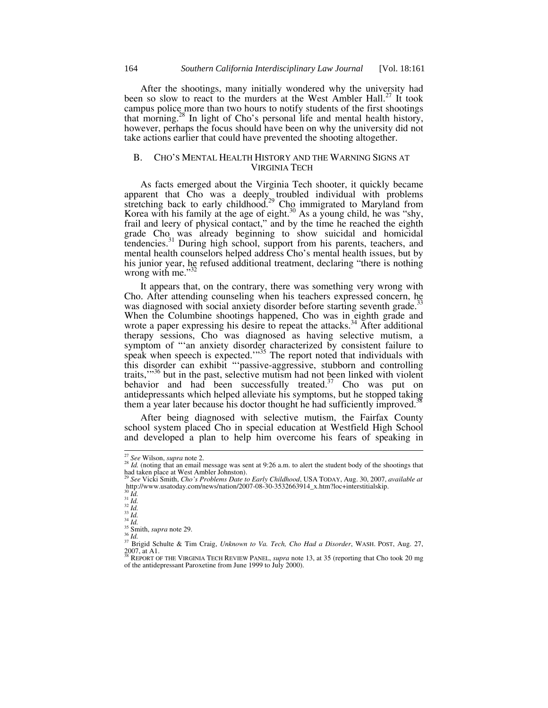After the shootings, many initially wondered why the university had been so slow to react to the murders at the West Ambler Hall.<sup>27</sup> It took campus police more than two hours to notify students of the first shootings that morning.28 In light of Cho's personal life and mental health history, however, perhaps the focus should have been on why the university did not take actions earlier that could have prevented the shooting altogether.

#### B. CHO'S MENTAL HEALTH HISTORY AND THE WARNING SIGNS AT VIRGINIA TECH

As facts emerged about the Virginia Tech shooter, it quickly became apparent that Cho was a deeply troubled individual with problems stretching back to early childhood.<sup>29</sup> Cho immigrated to Maryland from Korea with his family at the age of eight.<sup>30</sup> As a young child, he was "shy, frail and leery of physical contact," and by the time he reached the eighth grade Cho was already beginning to show suicidal and homicidal tendencies.<sup>31</sup> During high school, support from his parents, teachers, and mental health counselors helped address Cho's mental health issues, but by his junior year, he refused additional treatment, declaring "there is nothing wrong with me." $32$ 

It appears that, on the contrary, there was something very wrong with Cho. After attending counseling when his teachers expressed concern, he was diagnosed with social anxiety disorder before starting seventh grade.<sup>33</sup> When the Columbine shootings happened, Cho was in eighth grade and wrote a paper expressing his desire to repeat the attacks.<sup>34</sup> After additional therapy sessions, Cho was diagnosed as having selective mutism, a symptom of "'an anxiety disorder characterized by consistent failure to speak when speech is expected."<sup>35</sup> The report noted that individuals with this disorder can exhibit "'passive-aggressive, stubborn and controlling traits,"<sup>36</sup> but in the past, selective mutism had not been linked with violent behavior and had been successfully treated.<sup>37</sup> Cho was put on antidepressants which helped alleviate his symptoms, but he stopped taking them a year later because his doctor thought he had sufficiently improved.<sup>38</sup>

After being diagnosed with selective mutism, the Fairfax County school system placed Cho in special education at Westfield High School and developed a plan to help him overcome his fears of speaking in

<sup>27</sup> *See* Wilson, *supra* note 2. 28 *Id.* (noting that an email message was sent at 9:26 a.m. to alert the student body of the shootings that had taken place at West Ambler Johnston).

<sup>&</sup>lt;sup>29</sup> See Vicki Smith, *Cho's Problems Date to Early Childhood*, USA TODAY, Aug. 30, 2007, *available at*<br>http://www.usatoday.com/news/nation/2007-08-30-3532663914\_x.htm?loc+interstitialskip.<br><sup>30</sup> Id.<br><sup>31</sup> Id.<br><sup>32</sup> Id.<br><sup>32</sup>

<sup>2007,</sup> at A1. 38 REPORT OF THE VIRGINIA TECH REVIEW PANEL, *supra* note 13, at 35 (reporting that Cho took 20 mg

of the antidepressant Paroxetine from June 1999 to July 2000).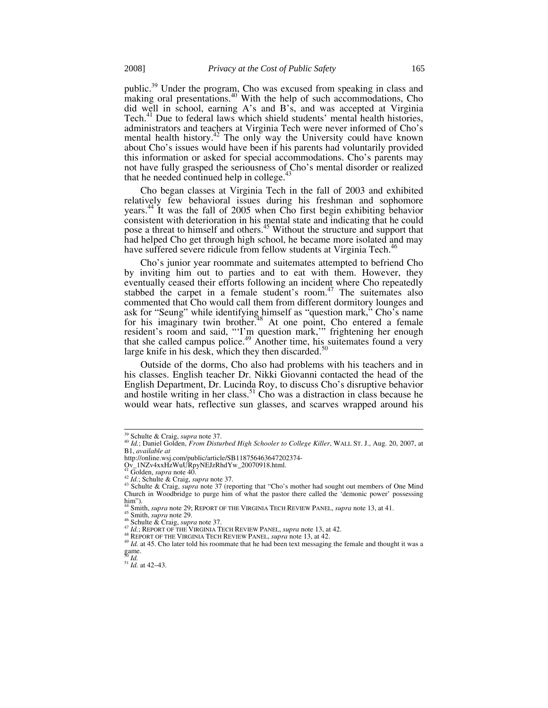public.<sup>39</sup> Under the program, Cho was excused from speaking in class and making oral presentations. $40^\circ$  With the help of such accommodations, Cho did well in school, earning A's and B's, and was accepted at Virginia Tech.41 Due to federal laws which shield students' mental health histories, administrators and teachers at Virginia Tech were never informed of Cho's mental health history.<sup>42</sup> The only way the University could have known about Cho's issues would have been if his parents had voluntarily provided this information or asked for special accommodations. Cho's parents may not have fully grasped the seriousness of Cho's mental disorder or realized that he needed continued help in college. $4$ 

Cho began classes at Virginia Tech in the fall of 2003 and exhibited relatively few behavioral issues during his freshman and sophomore years.44 It was the fall of 2005 when Cho first begin exhibiting behavior consistent with deterioration in his mental state and indicating that he could pose a threat to himself and others.<sup>45</sup> Without the structure and support that had helped Cho get through high school, he became more isolated and may have suffered severe ridicule from fellow students at Virginia Tech.<sup>46</sup>

Cho's junior year roommate and suitemates attempted to befriend Cho by inviting him out to parties and to eat with them. However, they eventually ceased their efforts following an incident where Cho repeatedly stabbed the carpet in a female student's room. $47$  The suitemates also commented that Cho would call them from different dormitory lounges and ask for "Seung" while identifying himself as "question mark," Cho's name for his imaginary twin brother.<sup>48</sup> At one point, Cho entered a female resident's room and said, "'I'm question mark,'" frightening her enough that she called campus police.<sup>49</sup> Another time, his suitemates found a very large knife in his desk, which they then discarded. $50$ 

Outside of the dorms, Cho also had problems with his teachers and in his classes. English teacher Dr. Nikki Giovanni contacted the head of the English Department, Dr. Lucinda Roy, to discuss Cho's disruptive behavior and hostile writing in her class.<sup>51</sup> Cho was a distraction in class because he would wear hats, reflective sun glasses, and scarves wrapped around his

<sup>&</sup>lt;sup>39</sup> Schulte & Craig, *supra* note 37.<br><sup>40</sup> *Id.*; Daniel Golden, *From Disturbed High Schooler to College Killer*, WALL ST. J., Aug. 20, 2007, at B1, *available at*

 $\frac{\text{DT}}{\text{Mt}}$ , *avantaor* and public/article/SB118756463647202374-<br>Ov\_1NZv4xxHzWuURpyNEJzRhdYw\_20070918.html.<br> $\frac{41}{3}$ Golden, *supra* note 40.

<sup>&</sup>lt;sup>42</sup> Id.; Schulte & Craig, *supra* note 37.<br><sup>42</sup> Id.; Schulte & Craig, *supra* note 37. Church in Woodbridge to purge him of what the pastor there called the 'demonic power' possessing him").<br><sup>44</sup> Smith, *supra* note 29; REPORT OF THE VIRGINIA TECH REVIEW PANEL, *supra* note 13, at 41.

<sup>&</sup>lt;sup>45</sup> Sminh, *supra* note 29.<br>
<sup>45</sup> Schulte & Craig, *supra* note 37.<br>
<sup>47</sup> Id.; REPORT OF THE VIRGINIA TECH REVIEW PANEL, *supra* note 13, at 42.<br>
<sup>48</sup> REPORT OF THE VIRGINIA TECH REVIEW PANEL, *supra* note 13, at 42.<br>
<sup>4</sup> game.

<sup>50</sup> *Id.* <sup>51</sup> *Id.* at 42–43.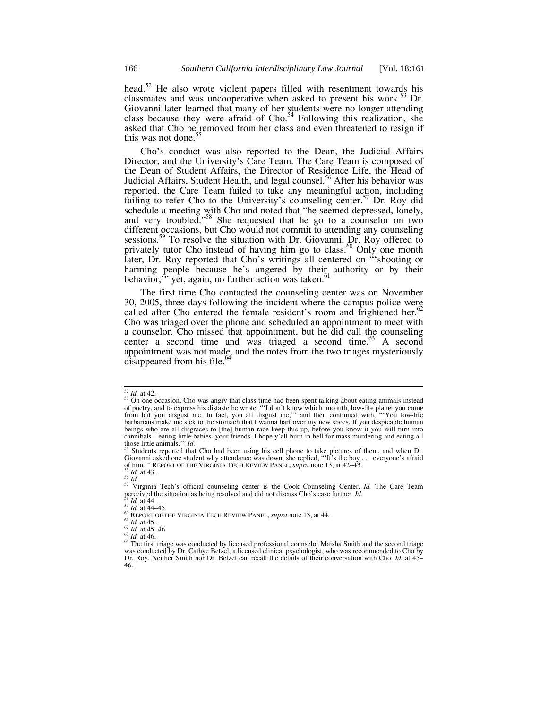head.<sup>52</sup> He also wrote violent papers filled with resentment towards his classmates and was uncooperative when asked to present his work.<sup>53</sup> Dr. Giovanni later learned that many of her students were no longer attending class because they were afraid of  $Cho.<sup>54</sup>$  Following this realization, she asked that Cho be removed from her class and even threatened to resign if this was not done.<sup>5</sup>

Cho's conduct was also reported to the Dean, the Judicial Affairs Director, and the University's Care Team. The Care Team is composed of the Dean of Student Affairs, the Director of Residence Life, the Head of Judicial Affairs, Student Health, and legal counsel.<sup>56</sup> After his behavior was reported, the Care Team failed to take any meaningful action, including failing to refer Cho to the University's counseling center.<sup>57</sup> Dr. Roy did schedule a meeting with Cho and noted that "he seemed depressed, lonely, and very troubled."<sup>58</sup> She requested that he go to a counselor on two different occasions, but Cho would not commit to attending any counseling sessions.<sup>59</sup> To resolve the situation with Dr. Giovanni, Dr. Roy offered to privately tutor Cho instead of having him go to class.<sup>60</sup> Only one month later, Dr. Roy reported that Cho's writings all centered on "shooting or harming people because he's angered by their authority or by their behavior," yet, again, no further action was taken. $61$ 

The first time Cho contacted the counseling center was on November 30, 2005, three days following the incident where the campus police were called after Cho entered the female resident's room and frightened her.<sup>62</sup> Cho was triaged over the phone and scheduled an appointment to meet with a counselor. Cho missed that appointment, but he did call the counseling center a second time and was triaged a second time. $^{63}$  A second appointment was not made, and the notes from the two triages mysteriously disappeared from his file.<sup>6</sup>

 $\frac{52 \text{ Id. at } 42.53 \text{ On one occasion, Cho was angry that class time had been spent talking about eating animals instead.}$ of poetry, and to express his distaste he wrote, "'I don't know which uncouth, low-life planet you come from but you disgust me. In fact, you all disgust me,'" and then continued with, "'You low-life barbarians make me sick to the stomach that I wanna barf over my new shoes. If you despicable human beings who are all disgraces to [the] human race keep this up, before you know it you will turn into cannibals—eating little babies, your friends. I hope y'all burn in hell for mass murdering and eating all those little animals."  $Id$ .

<sup>&</sup>lt;sup>4</sup> Students reported that Cho had been using his cell phone to take pictures of them, and when Dr. Giovanni asked one student why attendance was down, she replied, "'It's the boy . . . everyone's afraid of him." REPORT OF THE VIRGINIA TECH REVIEW PANEL, *supra* note 13, at  $42-43$ . of him.'" REPORT OF THE VIRGINIA TECH REVIEW PANEL, *supra* note 13, at 42–43.<br><sup>55</sup> *Id.* at 43.<br><sup>56</sup> *Id.* 57 Virginia Tech's official counseling center is the Cook Counseling Center. *Id.* The Care Team

perceived the situation as being resolved and did not discuss Cho's case further. *Id.*<br><sup>59</sup> *Id.* at 44.<br><sup>69</sup> *Id.* at 44–45.<br><sup>60</sup> *Id.* at 45–45.<br><sup>61</sup> *Id.* at 45–46.<br><sup>61</sup> *Id.* at 45–46.<br><sup>62</sup> *Id.* at 45–46.<br><sup>63</sup> *Id.* 

<sup>&</sup>lt;sup>64</sup> The first triage was conducted by licensed professional counselor Maisha Smith and the second triage was conducted by Dr. Cathye Betzel, a licensed clinical psychologist, who was recommended to Cho by Dr. Roy. Neither Smith nor Dr. Betzel can recall the details of their conversation with Cho. *Id.* at 45– 46.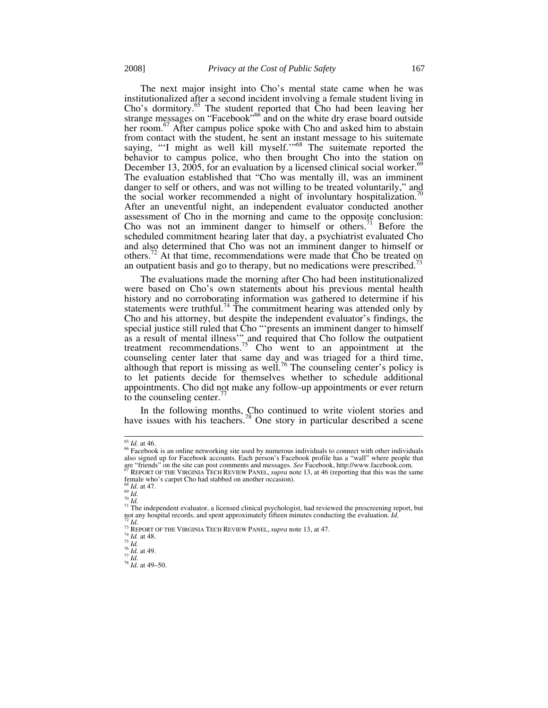The next major insight into Cho's mental state came when he was institutionalized after a second incident involving a female student living in Cho's dormitory.<sup>65</sup> The student reported that Cho had been leaving her strange messages on "Facebook"<sup>66</sup> and on the white dry erase board outside her room.<sup>67</sup> After campus police spoke with Cho and asked him to abstain from contact with the student, he sent an instant message to his suitemate saying, "I might as well kill myself."<sup>68</sup> The suitemate reported the behavior to campus police, who then brought Cho into the station on December 13, 2005, for an evaluation by a licensed clinical social worker.<sup>69</sup> The evaluation established that "Cho was mentally ill, was an imminent danger to self or others, and was not willing to be treated voluntarily," and the social worker recommended a night of involuntary hospitalization.<sup>70</sup> After an uneventful night, an independent evaluator conducted another assessment of Cho in the morning and came to the opposite conclusion: Cho was not an imminent danger to himself or others.<sup>71</sup> Before the scheduled commitment hearing later that day, a psychiatrist evaluated Cho and also determined that Cho was not an imminent danger to himself or others.<sup>72</sup> At that time, recommendations were made that  $\bar{C}$  ho be treated on an outpatient basis and go to therapy, but no medications were prescribed.<sup>73</sup>

The evaluations made the morning after Cho had been institutionalized were based on Cho's own statements about his previous mental health history and no corroborating information was gathered to determine if his statements were truthful.<sup>74</sup> The commitment hearing was attended only by Cho and his attorney, but despite the independent evaluator's findings, the special justice still ruled that Cho "'presents an imminent danger to himself as a result of mental illness'" and required that Cho follow the outpatient treatment recommendations.<sup>75</sup> Cho went to an appointment at the counseling center later that same day and was triaged for a third time, although that report is missing as well.<sup>76</sup> The counseling center's policy is to let patients decide for themselves whether to schedule additional appointments. Cho did not make any follow-up appointments or ever return to the counseling center.<sup>7</sup>

In the following months, Cho continued to write violent stories and have issues with his teachers.<sup>78</sup> One story in particular described a scene

 $<sup>65</sup>$  *Id.* at 46. <sup>66</sup> Facebook is an online networking site used by numerous individuals to connect with other individuals</sup> also signed up for Facebook accounts. Each person's Facebook profile has a "wall" where people that are "friends" on the site can post comments and messages. *See* Facebook, http://www.facebook.com. <sup>67</sup> REPORT OF THE VIRGINIA TECH REVIEW PANEL, *supra* note 13, at 46 (reporting that this was the same

female who's carpet Cho had stabbed on another occasion).<br>
<sup>68</sup> *Id.* at 47. <br>
<sup>69</sup> *Id.* 

<sup>&</sup>lt;sup>70</sup> *Id.*<br><sup>71</sup> The independent evaluator, a licensed clinical psychologist, had reviewed the prescreening report, but not any hospital records, and spent approximately fifteen minutes conducting the evaluation. Id.<br>
<sup>73</sup> REPORT OF THE VIRGINIA TECH REVIEW PANEL, *supra* note 13, at 47.<br>
<sup>74</sup> Id. at 48.<br>
<sup>75</sup> Id.<br>
<sup>75</sup> Id. at 49.<br>
<sup>76</sup> Id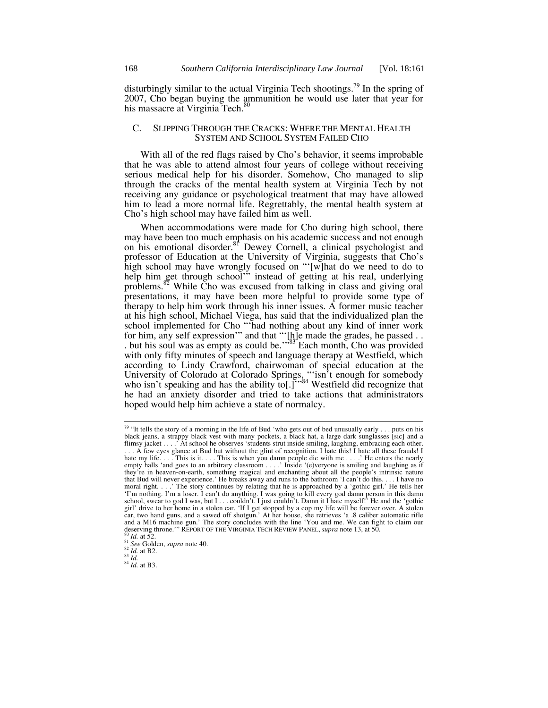disturbingly similar to the actual Virginia Tech shootings.<sup>79</sup> In the spring of 2007, Cho began buying the ammunition he would use later that year for his massacre at Virginia Tech.<sup>80</sup>

### C. SLIPPING THROUGH THE CRACKS: WHERE THE MENTAL HEALTH SYSTEM AND SCHOOL SYSTEM FAILED CHO

With all of the red flags raised by Cho's behavior, it seems improbable that he was able to attend almost four years of college without receiving serious medical help for his disorder. Somehow, Cho managed to slip through the cracks of the mental health system at Virginia Tech by not receiving any guidance or psychological treatment that may have allowed him to lead a more normal life. Regrettably, the mental health system at Cho's high school may have failed him as well.

When accommodations were made for Cho during high school, there may have been too much emphasis on his academic success and not enough on his emotional disorder.<sup>81</sup> Dewey Cornell, a clinical psychologist and professor of Education at the University of Virginia, suggests that Cho's high school may have wrongly focused on "'[w]hat do we need to do to help him get through school<sup>"</sup> instead of getting at his real, underlying problems.82 While Cho was excused from talking in class and giving oral presentations, it may have been more helpful to provide some type of therapy to help him work through his inner issues. A former music teacher at his high school, Michael Viega, has said that the individualized plan the school implemented for Cho "'had nothing about any kind of inner work for him, any self expression'" and that "'[h]e made the grades, he passed . . . but his soul was as empty as could be.<sup> $383'$ </sup> Each month, Cho was provided with only fifty minutes of speech and language therapy at Westfield, which according to Lindy Crawford, chairwoman of special education at the University of Colorado at Colorado Springs, "'isn't enough for somebody who isn't speaking and has the ability to[.]"<sup>84</sup> Westfield did recognize that he had an anxiety disorder and tried to take actions that administrators hoped would help him achieve a state of normalcy.

 <sup>79 &</sup>quot;It tells the story of a morning in the life of Bud 'who gets out of bed unusually early . . . puts on his black jeans, a strappy black vest with many pockets, a black hat, a large dark sunglasses [sic] and a flimsy jacket . . . .' At school he observes 'students strut inside smiling, laughing, embracing each other. .. A few eyes glance at Bud but without the glint of recognition. I hate this! I hate all these frauds! I hate my life. . . . This is it. . . . This is when you damn people die with me . . . .' He enters the nearly empty halls 'and goes to an arbitrary classroom . . . .' Inside '(e)veryone is smiling and laughing as if they're in heaven-on-earth, something magical and enchanting about all the people's intrinsic nature<br>that Bud will never experience.' He breaks away and runs to the bathroom 'I can't do this.... I have no<br>moral right....' 'I'm nothing. I'm a loser. I can't do anything. I was going to kill every god damn person in this damn school, swear to god I was, but I . . . couldn't. I just couldn't. Damn it I hate myself!<sup>5</sup> He and the 'gothic girl' drive to her home in a stolen car. 'If I get stopped by a cop my life will be forever over. A stolen car, two hand guns, and a sawed off shotgun.' At her house, she retrieves 'a .8 caliber automatic rifle<br>and a M16 machine gun.' The story concludes with the line 'You and me. We can fight to claim our<br>deserving throne.'"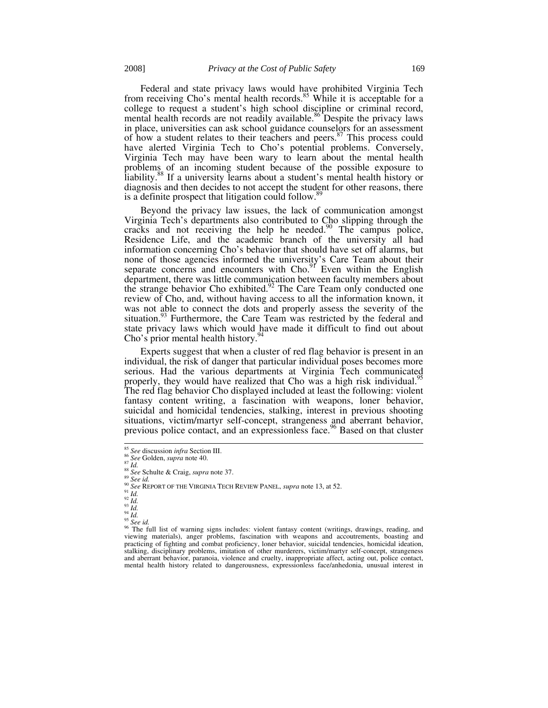Federal and state privacy laws would have prohibited Virginia Tech from receiving Cho's mental health records.<sup>85</sup> While it is acceptable for a college to request a student's high school discipline or criminal record, mental health records are not readily available.<sup>86</sup> Despite the privacy laws in place, universities can ask school guidance counselors for an assessment of how a student relates to their teachers and peers.<sup>87</sup> This process could have alerted Virginia Tech to Cho's potential problems. Conversely, Virginia Tech may have been wary to learn about the mental health problems of an incoming student because of the possible exposure to liability.<sup>88</sup> If a university learns about a student's mental health history or diagnosis and then decides to not accept the student for other reasons, there is a definite prospect that litigation could follow.<sup>89</sup>

Beyond the privacy law issues, the lack of communication amongst Virginia Tech's departments also contributed to Cho slipping through the cracks and not receiving the help he needed.<sup>90</sup> The campus police, Residence Life, and the academic branch of the university all had information concerning Cho's behavior that should have set off alarms, but none of those agencies informed the university's Care Team about their separate concerns and encounters with  $Cho.<sup>91</sup>$  Even within the English department, there was little communication between faculty members about the strange behavior Cho exhibited. $92$  The Care Team only conducted one review of Cho, and, without having access to all the information known, it was not able to connect the dots and properly assess the severity of the situation.<sup>93</sup> Furthermore, the Care Team was restricted by the federal and state privacy laws which would have made it difficult to find out about Cho's prior mental health history. $9^9$ 

Experts suggest that when a cluster of red flag behavior is present in an individual, the risk of danger that particular individual poses becomes more serious. Had the various departments at Virginia Tech communicated properly, they would have realized that Cho was a high risk individual.<sup>95</sup> The red flag behavior Cho displayed included at least the following: violent fantasy content writing, a fascination with weapons, loner behavior, suicidal and homicidal tendencies, stalking, interest in previous shooting situations, victim/martyr self-concept, strangeness and aberrant behavior, previous police contact, and an expressionless face.<sup>96</sup> Based on that cluster

<sup>&</sup>lt;sup>85</sup> See discussion *infra* Section III.<br><sup>86</sup> See Golden, *supra* note 40.<br><sup>87</sup> Id.<br><sup>88</sup> See Schulte & Craig, *supra* note 37.<br><sup>90</sup> See REPORT OF THE VIRGINIA TECH REVIEW PANEL, *supra* note 13, at 52.<br><sup>91</sup> Id.<br><sup>94</sup> Id.<br><sup></sup> viewing materials), anger problems, fascination with weapons and accoutrements, boasting and practicing of fighting and combat proficiency, loner behavior, suicidal tendencies, homicidal ideation, stalking, disciplinary problems, imitation of other murderers, victim/martyr self-concept, strangeness and aberrant behavior, paranoia, violence and cruelty, inappropriate affect, acting out, police contact, mental health history related to dangerousness, expressionless face/anhedonia, unusual interest in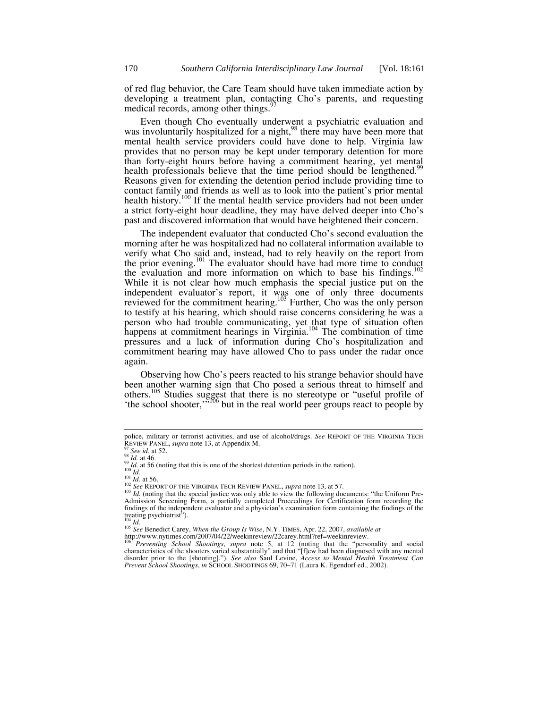of red flag behavior, the Care Team should have taken immediate action by developing a treatment plan, contacting Cho's parents, and requesting medical records, among other things.<sup>9</sup>

Even though Cho eventually underwent a psychiatric evaluation and was involuntarily hospitalized for a night,<sup>98</sup> there may have been more that mental health service providers could have done to help. Virginia law provides that no person may be kept under temporary detention for more than forty-eight hours before having a commitment hearing, yet mental health professionals believe that the time period should be lengthened.<sup>99</sup> Reasons given for extending the detention period include providing time to contact family and friends as well as to look into the patient's prior mental health history.<sup>100</sup> If the mental health service providers had not been under a strict forty-eight hour deadline, they may have delved deeper into Cho's past and discovered information that would have heightened their concern.

The independent evaluator that conducted Cho's second evaluation the morning after he was hospitalized had no collateral information available to verify what Cho said and, instead, had to rely heavily on the report from the prior evening.101 The evaluator should have had more time to conduct the evaluation and more information on which to base his findings. While it is not clear how much emphasis the special justice put on the independent evaluator's report, it was one of only three documents reviewed for the commitment hearing.<sup>103</sup> Further, Cho was the only person to testify at his hearing, which should raise concerns considering he was a person who had trouble communicating, yet that type of situation often happens at commitment hearings in Virginia.<sup>104</sup> The combination of time pressures and a lack of information during Cho's hospitalization and commitment hearing may have allowed Cho to pass under the radar once again.

Observing how Cho's peers reacted to his strange behavior should have been another warning sign that Cho posed a serious threat to himself and others.105 Studies suggest that there is no stereotype or "useful profile of the school shooter,<sup>5506</sup> but in the real world peer groups react to people by

police, military or terrorist activities, and use of alcohol/drugs. *See* REPORT OF THE VIRGINIA TECH<br>REVIEW PANEL, *supra* note 13, at Appendix M.<br><sup>97</sup> See id at 52

<sup>&</sup>lt;sup>97</sup> See id. at 52.<br><sup>98</sup> Id. at 46.<br><sup>109</sup> Id. at 56 (noting that this is one of the shortest detention periods in the nation).<br><sup>100</sup> Id. at 56.<br><sup>102</sup> See REPORT OF THE VIRGINIA TECH REVIEW PANEL, *supra* note 13, at 57.<br><sup></sup> Admission Screening Form, a partially completed Proceedings for Certification form recording the findings of the independent evaluator and a physician's examination form containing the findings of the treating psychiatrist").<br> $^{104}$  *Id.* 

<sup>&</sup>lt;sup>105</sup> *See* Benedict Carey, *When the Group Is Wise*, N.Y. TIMES, Apr. 22, 2007, *available at* http://www.nytimes.com/2007/04/22/weekinreview/22carey.html?ref=weekinreview.

http://www.nytimes.com/2007/04/22/weekinreview/22carey.html?ref=weekinreview.<br><sup>106</sup> Preventing School Shootings, supra note 5, at 12 (noting that the "personality and social characteristics of the shooters varied substanti disorder prior to the [shooting]."). *See also* Saul Levine, *Access to Mental Health Treatment Can Prevent School Shootings*, *in* SCHOOL SHOOTINGS 69, 70–71 (Laura K. Egendorf ed., 2002).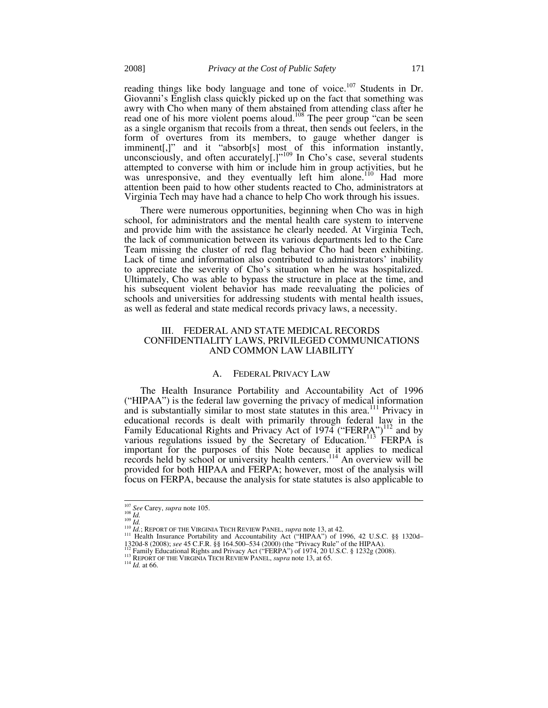reading things like body language and tone of voice.<sup>107</sup> Students in Dr. Giovanni's English class quickly picked up on the fact that something was awry with Cho when many of them abstained from attending class after he read one of his more violent poems aloud.<sup>108</sup> The peer group "can be seen as a single organism that recoils from a threat, then sends out feelers, in the form of overtures from its members, to gauge whether danger is imminent[,]" and it "absorb[s] most of this information instantly, unconsciously, and often accurately $[.]$ <sup>109</sup> In Cho's case, several students attempted to converse with him or include him in group activities, but he was unresponsive, and they eventually left him alone.<sup>110</sup> Had more attention been paid to how other students reacted to Cho, administrators at Virginia Tech may have had a chance to help Cho work through his issues.

There were numerous opportunities, beginning when Cho was in high school, for administrators and the mental health care system to intervene and provide him with the assistance he clearly needed. At Virginia Tech, the lack of communication between its various departments led to the Care Team missing the cluster of red flag behavior Cho had been exhibiting. Lack of time and information also contributed to administrators' inability to appreciate the severity of Cho's situation when he was hospitalized. Ultimately, Cho was able to bypass the structure in place at the time, and his subsequent violent behavior has made reevaluating the policies of schools and universities for addressing students with mental health issues, as well as federal and state medical records privacy laws, a necessity.

# III. FEDERAL AND STATE MEDICAL RECORDS CONFIDENTIALITY LAWS, PRIVILEGED COMMUNICATIONS AND COMMON LAW LIABILITY

# A. FEDERAL PRIVACY LAW

The Health Insurance Portability and Accountability Act of 1996 ("HIPAA") is the federal law governing the privacy of medical information and is substantially similar to most state statutes in this area.<sup>111</sup> Privacy in educational records is dealt with primarily through federal law in the Family Educational Rights and Privacy Act of 1974 ("FERPA")<sup>112</sup> and by various regulations issued by the Secretary of Education.<sup>113</sup> FERPA is important for the purposes of this Note because it applies to medical records held by school or university health centers.<sup>114</sup> An overview will be provided for both HIPAA and FERPA; however, most of the analysis will focus on FERPA, because the analysis for state statutes is also applicable to

<sup>&</sup>lt;sup>107</sup> See Carey, *supra* note 105.<br><sup>109</sup> Id.<br><sup>110</sup> Id., REPORT OF THE VIRGINIA TECH REVIEW PANEL, *supra* note 13, at 42.<br><sup>110</sup> Id.; REPORT OF THE VIRGINIA TECH REVIEW PANEL, *supra* note 13, at 42.<br><sup>111</sup> Health Insurance

<sup>1320</sup>d-8 (2008); *see* 45 C.F.R. §§ 164.500–534 (2000) (the "Privacy Rule" of the HIPAA).<br><sup>112</sup> Family Educational Rights and Privacy Act ("FERPA") of 1974, 20 U.S.C. § 1232g (2008).<br><sup>113</sup> REPORT OF THE VIRGINIA TECH REVIE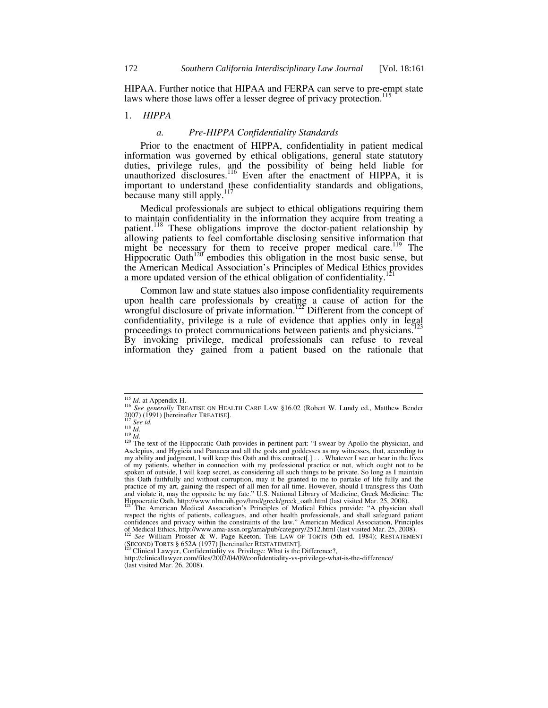HIPAA. Further notice that HIPAA and FERPA can serve to pre-empt state laws where those laws offer a lesser degree of privacy protection.<sup>115</sup>

# 1. *HIPPA*

# *a. Pre-HIPPA Confidentiality Standards*

Prior to the enactment of HIPPA, confidentiality in patient medical information was governed by ethical obligations, general state statutory duties, privilege rules, and the possibility of being held liable for unauthorized disclosures.<sup>116</sup> Even after the enactment of HIPPA, it is important to understand these confidentiality standards and obligations, because many still apply. $<sup>1</sup>$ </sup>

Medical professionals are subject to ethical obligations requiring them to maintain confidentiality in the information they acquire from treating a patient.<sup>118</sup> These obligations improve the doctor-patient relationship by allowing patients to feel comfortable disclosing sensitive information that might be necessary for them to receive proper medical care.<sup>119</sup> The Hippocratic Oath<sup>120'</sup> embodies this obligation in the most basic sense, but the American Medical Association's Principles of Medical Ethics provides a more updated version of the ethical obligation of confidentiality.<sup>12</sup>

Common law and state statues also impose confidentiality requirements upon health care professionals by creating a cause of action for the wrongful disclosure of private information.<sup>122</sup> Different from the concept of confidentiality, privilege is a rule of evidence that applies only in legal proceedings to protect communications between patients and physicians.<sup>123</sup> By invoking privilege, medical professionals can refuse to reveal information they gained from a patient based on the rationale that

<sup>&</sup>lt;sup>115</sup> *Id.* at Appendix H.<br><sup>116</sup> *See generally* TREATISE ON HEALTH CARE LAW §16.02 (Robert W. Lundy ed., Matthew Bender 2007) (1991) [hereinafter TREATISE].

<sup>2007) (1991) [</sup>hereination chemical].<br>
<sup>117</sup> *See id.*<br>
<sup>118</sup> *Id.*<br>
<sup>120</sup> The text of the Hippocratic Oath provides in pertinent part: "I swear by Apollo the physician, and<br>
<sup>120</sup> The text of the Hippocratic Oath provides Asclepius, and Hygieia and Panacea and all the gods and goddesses as my witnesses, that, according to my ability and judgment, I will keep this Oath and this contract[.] . . . Whatever I see or hear in the lives of my patients, whether in connection with my professional practice or not, which ought not to be spoken of outside, I will keep secret, as considering all such things to be private. So long as I maintain this Oath faithfully and without corruption, may it be granted to me to partake of life fully and the practice of my art, gaining the respect of all men for all time. However, should I transgress this Oath and violate it, may the opposite be my fate." U.S. National Library of Medicine, Greek Medicine: The Hippocratic Oath, http://www.nlm.nih.gov/hmd/greek/greek\_oath.html (last visited Mar. 25, 2008). 121 The American Medical Association's Principles of Medical Ethics provide: "A physician shall

respect the rights of patients, colleagues, and other health professionals, and shall safeguard patient confidences and privacy within the constraints of the law." American Medical Association, Principles of Medical Ethics, http://www.ama-assn.org/ama/pub/category/2512.html (last visited Mar. 25, 2008). 122 *See* William Prosser & W. Page Keeton, THE LAW OF TORTS (5th ed. 1984); RESTATEMENT See William 110880 W. Hugh Accords, 112 Clinical COND) TORTS § 652A (1977) [hereinafter RESTATEMENT].<br><sup>123</sup> Clinical Lawyer, Confidentiality vs. Privilege: What is the Difference?,

http://clinicallawyer.com/files/2007/04/09/confidentiality-vs-privilege-what-is-the-difference/ (last visited Mar. 26, 2008).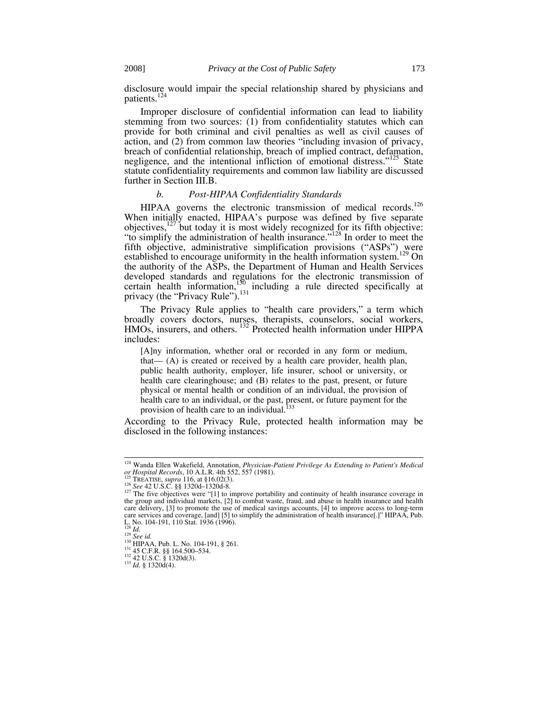disclosure would impair the special relationship shared by physicians and patients.<sup>124</sup>

Improper disclosure of confidential information can lead to liability stemming from two sources: (1) from confidentiality statutes which can provide for both criminal and civil penalties as well as civil causes of action, and (2) from common law theories "including invasion of privacy, breach of confidential relationship, breach of implied contract, defamation, negligence, and the intentional infliction of emotional distress."<sup>125</sup> State statute confidentiality requirements and common law liability are discussed further in Section III.B.

# *b. Post-HIPAA Confidentiality Standards*

HIPAA governs the electronic transmission of medical records.<sup>126</sup> When initially enacted, HIPAA's purpose was defined by five separate objectives, $127$  but today it is most widely recognized for its fifth objective: "to simplify the administration of health insurance."128 In order to meet the fifth objective, administrative simplification provisions ("ASPs") were established to encourage uniformity in the health information system.<sup>129</sup> On the authority of the ASPs, the Department of Human and Health Services developed standards and regulations for the electronic transmission of certain health information,  $130$  including a rule directed specifically at privacy (the "Privacy Rule").<sup>131</sup>

The Privacy Rule applies to "health care providers," a term which broadly covers doctors, nurses, therapists, counselors, social workers, HMOs, insurers, and others. <sup>132</sup> Protected health information under HIPPA includes:

[A]ny information, whether oral or recorded in any form or medium, that— (A) is created or received by a health care provider, health plan, public health authority, employer, life insurer, school or university, or health care clearinghouse; and (B) relates to the past, present, or future physical or mental health or condition of an individual, the provision of health care to an individual, or the past, present, or future payment for the provision of health care to an individual.<sup>133</sup>

According to the Privacy Rule, protected health information may be disclosed in the following instances:

<sup>&</sup>lt;sup>124</sup> Wanda Ellen Wakefield, Annotation, *Physician-Patient Privilege As Extending to Patient's Medical <i>or Hospital Records*, 10 A.L.R. 4th 552, 557 (1981).

<sup>&</sup>lt;sup>125</sup> TREATISE, *supra* 116, at §16.02(3).<br><sup>126</sup> See 42 U.S.C. §§ 1320d–1320d-8.<br><sup>127</sup> The five objectives were "[1] to improve portability and continuity of health insurance coverage in the group and individual markets, [2] to combat waste, fraud, and abuse in health insurance and health care delivery, [3] to promote the use of medical savings accounts, [4] to improve access to long-term care services and coverage, [and] [5] to simplify the administration of health insurance[.]" HIPAA, Pub. L. No. 104-191, 110 Stat. 1936 (1996).<br><sup>128</sup> *Id.*<br><sup>129</sup> See id.

<sup>1&</sup>lt;sup>30</sup> HIPAA, Pub. L. No. 104-191, § 261.<br><sup>131</sup> 45 C.F.R. §§ 164.500–534.<br><sup>132</sup> 42 U.S.C. § 1320d(3).<br><sup>133</sup> *Id.* § 1320d(4).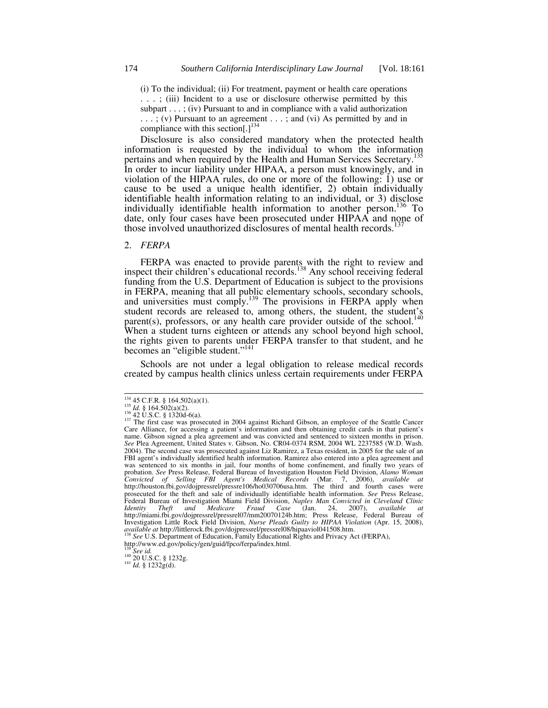(i) To the individual; (ii) For treatment, payment or health care operations . . . ; (iii) Incident to a use or disclosure otherwise permitted by this subpart  $\dots$ ; (iv) Pursuant to and in compliance with a valid authorization  $\ldots$ ; (v) Pursuant to an agreement  $\ldots$ ; and (vi) As permitted by and in compliance with this section[.] $^{134}$ 

Disclosure is also considered mandatory when the protected health information is requested by the individual to whom the information pertains and when required by the Health and Human Services Secretary.135 In order to incur liability under HIPAA, a person must knowingly, and in violation of the HIPAA rules, do one or more of the following: 1) use or cause to be used a unique health identifier, 2) obtain individually identifiable health information relating to an individual, or 3) disclose individually identifiable health information to another person.<sup>136</sup> To date, only four cases have been prosecuted under HIPAA and none of those involved unauthorized disclosures of mental health records.<sup>1</sup>

#### 2. *FERPA*

FERPA was enacted to provide parents with the right to review and inspect their children's educational records.<sup>138</sup> Any school receiving federal funding from the U.S. Department of Education is subject to the provisions in FERPA, meaning that all public elementary schools, secondary schools, and universities must comply.<sup>139</sup> The provisions in FERPA apply when student records are released to, among others, the student, the student's parent(s), professors, or any health care provider outside of the school.<sup>1</sup> When a student turns eighteen or attends any school beyond high school, the rights given to parents under FERPA transfer to that student, and he becomes an "eligible student."<sup>14</sup>

Schools are not under a legal obligation to release medical records created by campus health clinics unless certain requirements under FERPA

<sup>&</sup>lt;sup>134</sup> 45 C.F.R. § 164.502(a)(1).<br><sup>135</sup> *Id.* § 164.502(a)(2).<br><sup>136</sup> 42 U.S.C. § 1320d-6(a).<br><sup>137</sup> The first case was prosecuted in 2004 against Richard Gibson, an employee of the Seattle Cancer Care Alliance, for accessing a patient's information and then obtaining credit cards in that patient's name. Gibson signed a plea agreement and was convicted and sentenced to sixteen months in prison. *See* Plea Agreement, United States v. Gibson, No. CR04-0374 RSM, 2004 WL 2237585 (W.D. Wash. 2004). The second case was prosecuted against Liz Ramirez, a Texas resident, in 2005 for the sale of an FBI agent's individually identified health information. Ramirez also entered into a plea agreement and was sentenced to six months in jail, four months of home confinement, and finally two years of probation. *See* Press Release, Federal Bureau of Investigation Houston Field Division, *Alamo Woman Convicted of Selling FBI Agent's Medical Records* (Mar. 7, 2006), *available at*  http://houston.fbi.gov/dojpressrel/pressre106/ho030706usa.htm. The third and fourth cases were prosecuted for the theft and sale of individually identifiable health information. *See* Press Release, Federal Bureau of Investigation Miami Field Division, *Naples Man Convicted in Cleveland Clinic Identity Theft and Medicare Fraud Case* (Jan. 24, 2007), *available at* http://miami.fbi.gov/dojpressrel/pressrel07/mm20070124b.htm; Press Release, Federal Bureau of Investigation Little Rock Field Division, *Nurse Pleads Guilty to HIPAA Violation* (Apr. 15, 2008), *available at* http://littlerock.fbi.gov/dojpressrel/pressrel08/hipaaviol041508.htm. 138 *See* U.S. Department of Education, Family Educational Rights and Privacy Act (FERPA),

http://www.ed.gov/policy/gen/guid/fpco/ferpa/index.html. 139 *See id.* 140 20 U.S.C. § 1232g. 141 *Id.* § 1232g(d).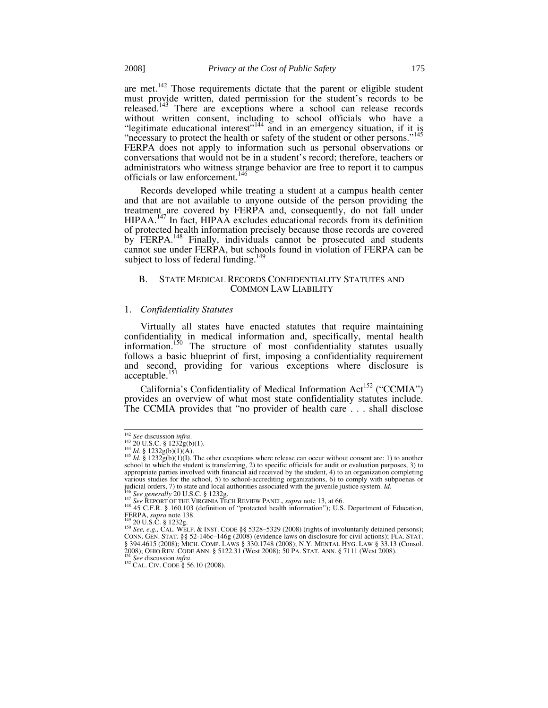are met. $142$  Those requirements dictate that the parent or eligible student must provide written, dated permission for the student's records to be released.<sup>143</sup> There are exceptions where a school can release records without written consent, including to school officials who have a "legitimate educational interest"<sup>144</sup> and in an emergency situation, if it is "necessary to protect the health or safety of the student or other persons." FERPA does not apply to information such as personal observations or conversations that would not be in a student's record; therefore, teachers or administrators who witness strange behavior are free to report it to campus officials or law enforcement.146

Records developed while treating a student at a campus health center and that are not available to anyone outside of the person providing the treatment are covered by FERPA and, consequently, do not fall under HIPAA.<sup>147</sup> In fact, HIPAA excludes educational records from its definition of protected health information precisely because those records are covered by FERPA.<sup>148</sup> Finally, individuals cannot be prosecuted and students cannot sue under FERPA, but schools found in violation of FERPA can be subject to loss of federal funding.<sup>149</sup>

# B. STATE MEDICAL RECORDS CONFIDENTIALITY STATUTES AND COMMON LAW LIABILITY

# 1. *Confidentiality Statutes*

Virtually all states have enacted statutes that require maintaining confidentiality in medical information and, specifically, mental health information.<sup>150</sup> The structure of most confidentiality statutes usually follows a basic blueprint of first, imposing a confidentiality requirement and second, providing for various exceptions where disclosure is  $acceptable.<sup>151</sup>$ 

California's Confidentiality of Medical Information Act<sup>152</sup> ("CCMIA") provides an overview of what most state confidentiality statutes include. The CCMIA provides that "no provider of health care . . . shall disclose

<sup>&</sup>lt;sup>142</sup> *See* discussion *infra*.<br>
<sup>143</sup> 20 U.S.C. § 1232g(b)(1).<br>
<sup>144</sup> *Id.* § 1232g(b)(1)(A).<br>
<sup>145</sup> *Id.* § 1232g(b)(1)(I). The other exceptions where release can occur without consent are: 1) to another school to which the student is transferring, 2) to specific officials for audit or evaluation purposes, 3) to appropriate parties involved with financial aid received by the student, 4) to an organization completing various studies for the school, 5) to school-accrediting organizations, 6) to comply with subpoenas or judicial orders, 7) to state and local authorities associated with the juvenile justice system. *Id.* 

<sup>&</sup>lt;sup>146</sup> See generally 20 U.S.C. § 1232g.<br><sup>147</sup> See REPORT OF THE VIRGINIA TECH REVIEW PANEL, *supra* note 13, at 66.<br><sup>148</sup> 45 C.F.R. § 160.103 (definition of "protected health information"); U.S. Department of Education,<br>FER

<sup>&</sup>lt;sup>149</sup> 20 U.S.C. § 1232g.<br><sup>150</sup> *See, e.g.*, CAL. WELF. & INST. CODE §§ 5328–5329 (2008) (rights of involuntarily detained persons); CONN. GEN. STAT. §§ 52-146c–146g (2008) (evidence laws on disclosure for civil actions); FLA. STAT. § 394.4615 (2008); MICH. COMP. LAWS § 330.1748 (2008); N.Y. MENTAL HYG. LAW § 33.13 (Consol. 2008); OHIO REV. CODE ANN. § 5122.31 (West 2008); 50 PA. STAT. ANN. § 7111 (West 2008).<br><sup>151</sup> *See* discussion *infra*.<br><sup>151</sup> *Se*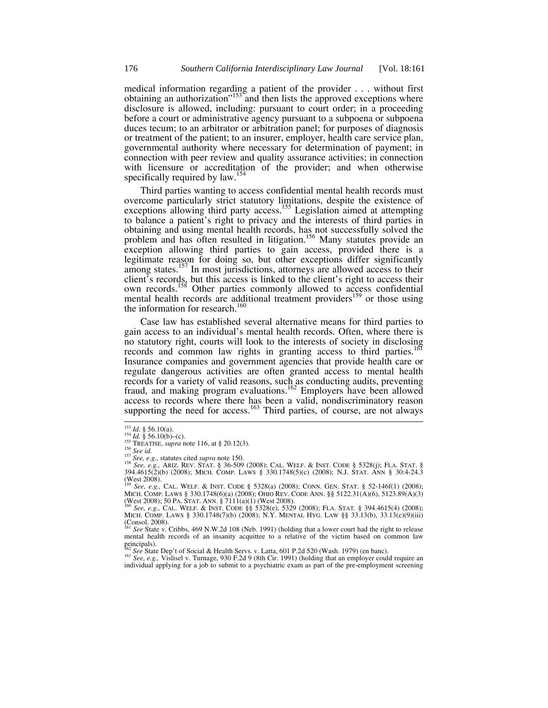medical information regarding a patient of the provider . . . without first obtaining an authorization" $153$  and then lists the approved exceptions where disclosure is allowed, including: pursuant to court order; in a proceeding before a court or administrative agency pursuant to a subpoena or subpoena duces tecum; to an arbitrator or arbitration panel; for purposes of diagnosis or treatment of the patient; to an insurer, employer, health care service plan, governmental authority where necessary for determination of payment; in connection with peer review and quality assurance activities; in connection with licensure or accreditation of the provider; and when otherwise specifically required by law.<sup>154</sup>

Third parties wanting to access confidential mental health records must overcome particularly strict statutory limitations, despite the existence of exceptions allowing third party access.<sup>155</sup> Legislation aimed at attempting to balance a patient's right to privacy and the interests of third parties in obtaining and using mental health records, has not successfully solved the problem and has often resulted in litigation.<sup>156</sup> Many statutes provide an exception allowing third parties to gain access, provided there is a legitimate reason for doing so, but other exceptions differ significantly among states.<sup>157</sup> In most jurisdictions, attorneys are allowed access to their client's records, but this access is linked to the client's right to access their own records.<sup>158</sup> Other parties commonly allowed to access confidential mental health records are additional treatment providers<sup>159</sup> or those using the information for research.<sup>160</sup>

Case law has established several alternative means for third parties to gain access to an individual's mental health records. Often, where there is no statutory right, courts will look to the interests of society in disclosing records and common law rights in granting access to third parties.<sup>1</sup> Insurance companies and government agencies that provide health care or regulate dangerous activities are often granted access to mental health records for a variety of valid reasons, such as conducting audits, preventing fraud, and making program evaluations.<sup>162</sup> Employers have been allowed access to records where there has been a valid, nondiscriminatory reason supporting the need for  $access$ .<sup>163</sup> Third parties, of course, are not always

163 *See*, *e.g.*, Vislisel v. Turnage, 930 F.2d 9 (8th Cir. 1991) (holding that an employer could require an individual applying for a job to submit to a psychiatric exam as part of the pre-employment screening

<sup>&</sup>lt;sup>153</sup> *Id.* § 56.10(a).<br>
<sup>154</sup> *Id.* § 56.10(b)–(c).<br>
<sup>155</sup> TREATISE, *supra* note 116, at § 20.12(3).<br>
<sup>156</sup> See id.<br>
<sup>157</sup> See, e.g., statutes cited *supra* note 150.<br>
<sup>157</sup> See, e.g., ARIZ. REV. STAT. § 36-509 (2008); 394.4615(2)(b) (2008); MICH. COMP. LAWS § 330.1748(5)(c) (2008); N.J. STAT. ANN § 30:4-24.3 (West 2008).

<sup>159</sup> *See, e.g.,* CAL. WELF. & INST. CODE § 5328(a) (2008); CONN. GEN. STAT. § 52-146f(1) (2008); MICH. COMP. LAWS § 330.1748(6)(a) (2008); OHIO REV. CODE ANN. §§ 5122.31(A)(6), 5123.89(A)(3) (West 2008); 50 PA. STAT. ANN. § 7111(a)(1) (West 2008).<br><sup>160</sup> *See, e.g.*, CAL. WELF. & INST. CODE §§ 5328(e), 5329 (2008); FLA. STAT. § 394.4615(4) (2008);

MICH. COMP. LAWS § 330.1748(7)(b) (2008); N.Y. MENTAL HYG. LAW §§ 33.13(b), 33.13(c)(9)(iii)  $($ Consol. 2008).

<sup>161</sup> *See* State v. Cribbs, 469 N.W.2d 108 (Neb. 1991) (holding that a lower court had the right to release mental health records of an insanity acquittee to a relative of the victim based on common law principals).<br><sup>162</sup> See State Dep't of Social & Health Servs. v. Latta, 601 P.2d 520 (Wash. 1979) (en banc).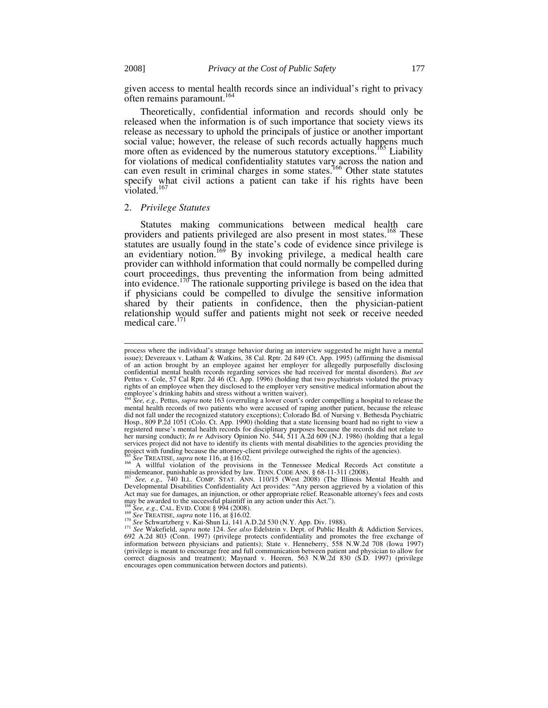given access to mental health records since an individual's right to privacy often remains paramount.<sup>164</sup>

Theoretically, confidential information and records should only be released when the information is of such importance that society views its release as necessary to uphold the principals of justice or another important social value; however, the release of such records actually happens much more often as evidenced by the numerous statutory exceptions.<sup>165</sup> Liability for violations of medical confidentiality statutes vary across the nation and can even result in criminal charges in some states.<sup>166</sup> Other state statutes specify what civil actions a patient can take if his rights have been violated. $167$ 

#### 2. *Privilege Statutes*

Statutes making communications between medical health care providers and patients privileged are also present in most states.<sup>168</sup> These statutes are usually found in the state's code of evidence since privilege is an evidentiary notion.<sup>169</sup> By invoking privilege, a medical health care provider can withhold information that could normally be compelled during court proceedings, thus preventing the information from being admitted into evidence.<sup>170</sup> The rationale supporting privilege is based on the idea that if physicians could be compelled to divulge the sensitive information shared by their patients in confidence, then the physician-patient relationship would suffer and patients might not seek or receive needed medical care.<sup>17</sup>

process where the individual's strange behavior during an interview suggested he might have a mental issue); Devereaux v. Latham & Watkins, 38 Cal. Rptr. 2d 849 (Ct. App. 1995) (affirming the dismissal of an action brought by an employee against her employer for allegedly purposefully disclosing confidential mental health records regarding services she had received for mental disorders). *But see* Pettus v. Cole, 57 Cal Rptr. 2d 46 (Ct. App. 1996) (holding that two psychiatrists violated the privacy rights of an employee when they disclosed to the employer very sensitive medical information about the employee's drinking habits and stress without a written waiver).<br><sup>164</sup> *See, e.g.*, Pettus, *supra* note 163 (overruling a lower court's order compelling a hospital to release the

mental health records of two patients who were accused of raping another patient, because the release did not fall under the recognized statutory exceptions); Colorado Bd. of Nursing v. Bethesda Psychiatric Hosp., 809 P.2d 1051 (Colo. Ct. App. 1990) (holding that a state licensing board had no right to view a registered nurse's mental health records for disciplinary purposes because the records did not relate to her nursing conduct); *In re* Advisory Opinion No. 544, 511 A.2d 609 (N.J. 1986) (holding that a legal services project did not have to identify its clients with mental disabilities to the agencies providing the project with funding because the attorney-client privilege outweighed the rights of the agencies).

<sup>&</sup>lt;sup>165</sup> See TREATISE, *supra* note 116, at §16.02.<br><sup>166</sup> A willful violation of the provisions in the Tennessee Medical Records Act constitute a misdemeanor, punishable as provided by law. TENN. CODE ANN. § 68-11-311 (2008).

misdemeanor, punishable as provided by law. TENN. CODE ANN. § 68-11-311 (2008).<br><sup>167</sup> See, e.g., 740 ILL. COMP. STAT. ANN. 110/15 (West 2008) (The Illinois Mental Health and<br>Developmental Disabilities Confidentiality Act p Act may sue for damages, an injunction, or other appropriate relief. Reasonable attorney's fees and costs

may be awarded to the successful plaintiff in any action under this Act.").<br>
<sup>168</sup> See, e.g., CAL. EVID. CODE § 994 (2008).<br>
<sup>169</sup> See TREATISE, *supra* note 116, at §16.02.<br>
<sup>170</sup> See Schwartzberg v. Kai-Shun Li, 141 A.D 692 A.2d 803 (Conn. 1997) (privilege protects confidentiality and promotes the free exchange of information between physicians and patients); State v. Henneberry, 558 N.W.2d 708 (Iowa 1997) (privilege is meant to encourage free and full communication between patient and physician to allow for correct diagnosis and treatment); Maynard v. Heeren, 563 N.W.2d 830 (S.D. 1997) (privilege encourages open communication between doctors and patients).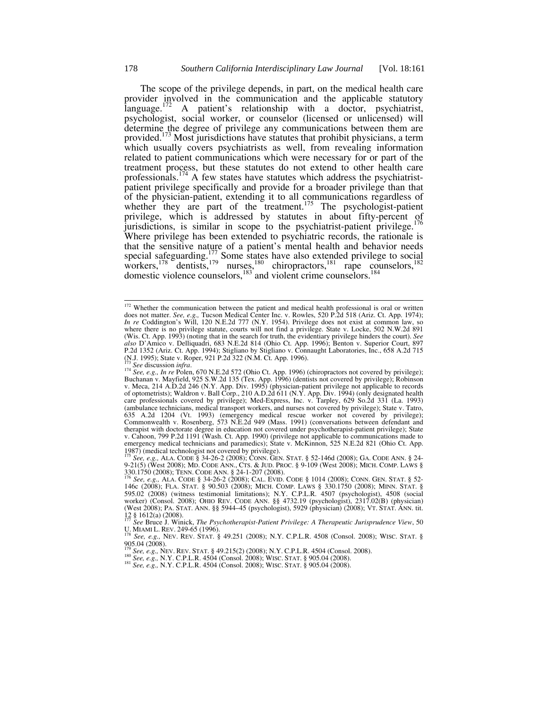The scope of the privilege depends, in part, on the medical health care provider involved in the communication and the applicable statutory language.<sup>172</sup> A patient's relationship with a doctor, psychiatrist, psychologist, social worker, or counselor (licensed or unlicensed) will determine the degree of privilege any communications between them are provided.<sup>173</sup> Most jurisdictions have statutes that prohibit physicians, a term which usually covers psychiatrists as well, from revealing information related to patient communications which were necessary for or part of the treatment process, but these statutes do not extend to other health care professionals.174 A few states have statutes which address the psychiatristpatient privilege specifically and provide for a broader privilege than that of the physician-patient, extending it to all communications regardless of whether they are part of the treatment.<sup>175</sup> The psychologist-patient privilege, which is addressed by statutes in about fifty-percent of jurisdictions, is similar in scope to the psychiatrist-patient privilege.<sup>176</sup> Where privilege has been extended to psychiatric records, the rationale is that the sensitive nature of a patient's mental health and behavior needs special safeguarding.<sup>177</sup> Some states have also extended privilege to social workers,<sup>178</sup> dentists,<sup>179</sup> nurses,<sup>180</sup> chiropractors,<sup>181</sup> rape counselors,<sup>182</sup> domestic violence counselors,<sup>183</sup> and violent crime counselors.<sup>184</sup>

<sup>175</sup> See, e.g., Ala. Code § 34-26-2 (2008); Conn. Gen. Stat. § 52-146d (2008); Ga. Code Ann. § 24-<br>9-21(5) (West 2008); Md. Code Ann., Cts. & Jud. Proc. § 9-109 (West 2008); Mich. Comp. Laws §

<sup>&</sup>lt;sup>172</sup> Whether the communication between the patient and medical health professional is oral or written does not matter. *See, e.g.*, Tucson Medical Center Inc. v. Rowles, 520 P.2d 518 (Ariz. Ct. App. 1974); *In re* Coddington's Will, 120 N.E.2d 777 (N.Y. 1954). Privilege does not exist at common law, so where there is no privilege statute, courts will not find a privilege. State v. Locke, 502 N.W.2d 891 (Wis. Ct. App. 1993) (noting that in the search for truth, the evidentiary privilege hinders the court). *See also* D'Amico v. Delliquadri, 683 N.E.2d 814 (Ohio Ct. App. 1996); Benton v. Superior Court, 897 P.2d 1352 (Ariz. Ct. App. 1994); Stigliano by Stigliano v. Connaught Laboratories, Inc., 658 A.2d 715 (N.J. 1995); State v. Roper, 921 P.2d 322 (N.M. Ct. App. 1996).

<sup>&</sup>lt;sup>173</sup> See discussion infra.<br><sup>174</sup> See, e.g., In re Polen, 670 N.E.2d 572 (Ohio Ct. App. 1996) (chiropractors not covered by privilege);<br>Buchanan v. Mayfield, 925 S.W.2d 135 (Tex. App. 1996) (dentists not covered by privile v. Meca, 214 A.D.2d 246 (N.Y. App. Div. 1995) (physician-patient privilege not applicable to records of optometrists); Waldron v. Ball Corp., 210 A.D.2d 611 (N.Y. App. Div. 1994) (only designated health care professionals covered by privilege); Med-Express, Inc. v. Tarpley, 629 So.2d 331 (La. 1993) (ambulance technicians, medical transport workers, and nurses not covered by privilege); State v. Tatro, 635 A.2d 1204 (Vt. 1993) (emergency medical rescue worker not covered by privilege); Commonwealth v. Rosenberg, 573 N.E.2d 949 (Mass. 1991) (conversations between defendant and therapist with doctorate degree in education not covered under psychotherapist-patient privilege); State v. Cahoon, 799 P.2d 1191 (Wash. Ct. App. 1990) (privilege not applicable to communications made to emergency medical technicians and paramedics); State v. McKinnon, 525 N.E.2d 821 (Ohio Ct. App. 1987) (medical technologist not covered by privilege).

<sup>330.1750 (2008);</sup> TENN. CODE ANN. § 24-1-207 (2008).<br><sup>176</sup> *See, e.g.,* Ala. CODE § 34-26-2 (2008); Cal. EVID. CODE § 1014 (2008); CONN. GEN. STAT. § 52-<br>146c (2008); Fla. Stat. § 90.503 (2008); Mich. COMP. Laws § 330.1750 595.02 (2008) (witness testimonial limitations); N.Y. C.P.L.R. 4507 (psychologist), 4508 (social worker) (Consol. 2008); OHIO REV. CODE ANN. §§ 4732.19 (psychologist), 2317.02(B) (physician) (West 2008); PA. STAT. ANN. §§ 5944–45 (psychologist), 5929 (physician) (2008); VT. STAT. ANN. tit. 12 § 1612(a) (2008). <sup>177</sup> *See* Bruce J. Winick, *The Psychotherapist-Patient Privilege: A Therapeutic Jurisprudence View*, 50

U. MIAMI L. REV. 249-65 (1996).<br><sup>178</sup> *See, e.g., N*EV. REV. STAT. § 49.251 (2008); N.Y. C.P.L.R. 4508 (Consol. 2008); WISC. STAT. §

<sup>905.04 (2008).&</sup>lt;br><sup>179</sup> *See, e.g.*, NEV. REV. STAT. § 49.215(2) (2008); N.Y. C.P.L.R. 4504 (Consol. 2008).<br><sup>180</sup> *See, e.g.*, N.Y. C.P.L.R. 4504 (Consol. 2008); WISC. STAT. § 905.04 (2008).<br><sup>181</sup> *See, e.g.*, N.Y. C.P.L.R. 4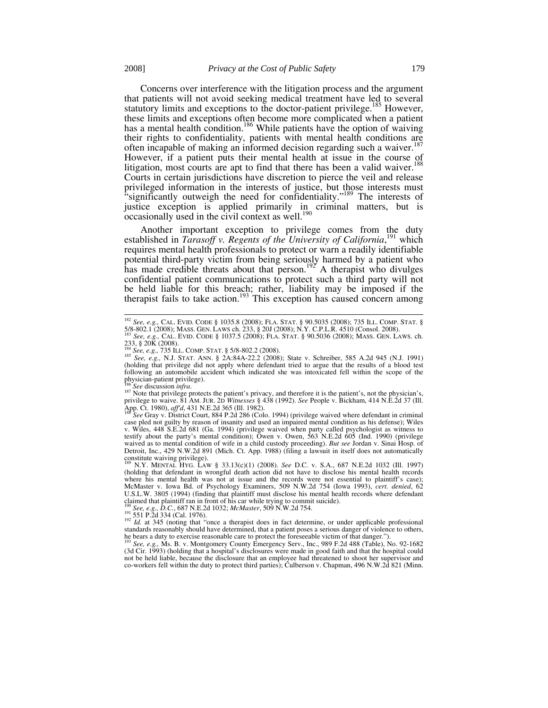Concerns over interference with the litigation process and the argument that patients will not avoid seeking medical treatment have led to several statutory limits and exceptions to the doctor-patient privilege.<sup>185</sup> However, these limits and exceptions often become more complicated when a patient has a mental health condition.<sup>186</sup> While patients have the option of waiving their rights to confidentiality, patients with mental health conditions are often incapable of making an informed decision regarding such a waiver.<sup>187</sup> However, if a patient puts their mental health at issue in the course of litigation, most courts are apt to find that there has been a valid waiver.<sup>188</sup> Courts in certain jurisdictions have discretion to pierce the veil and release privileged information in the interests of justice, but those interests must 'significantly outweigh the need for confidentiality."<sup>189</sup> The interests of justice exception is applied primarily in criminal matters, but is  $\alpha$  occasionally used in the civil context as well.<sup>190</sup>

Another important exception to privilege comes from the duty established in *Tarasoff v. Regents of the University of California*,<sup>191</sup> which requires mental health professionals to protect or warn a readily identifiable potential third-party victim from being seriously harmed by a patient who has made credible threats about that person.<sup>192</sup> A therapist who divulges confidential patient communications to protect such a third party will not be held liable for this breach; rather, liability may be imposed if the therapist fails to take action.<sup>193</sup> This exception has caused concern among

<sup>186</sup> See discussion *infra*.<br><sup>187</sup> Note that privilege protects the patient's privacy, and therefore it is the patient's, not the physician's, privilege to waive. 81 AM. JUR. 2D *Witnesses* § 438 (1992). *See* People v. App. Ct. 1980), *aff'd*, 431 N.E.2d 365 (Ill. 1982). 188 *See Gray v. B. See Gray v. District Court, 884 P.2d 286 (Colo. 1994) (privilege waived where defendant in criminal* 

case pled not guilty by reason of insanity and used an impaired mental condition as his defense); Wiles v. Wiles, 448 S.E.2d 681 (Ga. 1994) (privilege waived when party called psychologist as witness to testify about the party's mental condition); Owen v. Owen, 563 N.E.2d 605 (Ind. 1990) (privilege waived as to mental condition of wife in a child custody proceeding). *But see* Jordan v. Sinai Hosp. of Detroit, Inc., 429 N.W.2d 891 (Mich. Ct. App. 1988) (filing a lawsuit in itself does not automatically constitute waiving privilege). 189 N.Y. MENTAL HYG. LAW § 33.13(c)(1) (2008). *See* D.C. v. S.A., 687 N.E.2d 1032 (Ill. 1997)

(holding that defendant in wrongful death action did not have to disclose his mental health records where his mental health was not at issue and the records were not essential to plaintiff's case); McMaster v. Iowa Bd. of Psychology Examiners, 509 N.W.2d 754 (Iowa 1993), *cert. denied*, 62 U.S.L.W. 3805 (1994) (finding that plaintiff must disclose his mental health records where defendant claimed that plaintiff ran in front of his car while trying to commit suicide).<br><sup>190</sup> See, e.g., D.C., 687 N.E.2d 1032;

claimed that plaintiff ran in front of his car while trying to commit suicide).<br><sup>190</sup> See, e.g., D.C., 687 N.E.2d 1032; *McMaster*, 509 N.W.2d 754.<br><sup>191</sup> 551 P.2d 334 (Cal. 1976).<br><sup>192</sup> Id. at 345 (noting that "once a the he bears a duty to exercise reasonable care to protect the foreseeable victim of that danger."). <sup>193</sup> *See, e.g.,* Ms. B. v. Martesman, County Emergency Serv., Inc., 1988 (Table), No. 92-1682 (Table), No. 92-1682 (Table),

<sup>193</sup> See, e.g., Ms. B. v. Montgomery County Emergency Serv., Inc., 989 F.2d 488 (Table), No. 92-1682 (3d Cir. 1993) (holding that a hospital's disclosures were made in good faith and that the hospital could not be held liable, because the disclosure that an employee had threatened to shoot her supervisor and co-workers fell within the duty to protect third parties); Culberson v. Chapman, 496 N.W.2d 821 (Minn.

 <sup>182</sup> *See, e.g.,* CAL. EVID. CODE § 1035.8 (2008); FLA. STAT. § 90.5035 (2008); 735 ILL. COMP. STAT. § 5/8-802.1 (2008); MASS. GEN. LAWS ch. 233, § 20J (2008); N.Y. C.P.L.R. 4510 (Consol. 2008). 183 *See, e.g.*, CAL. EVID. CODE § 1037.5 (2008); FLA. STAT. § 90.5036 (2008); MASS. GEN. LAWS. ch.

 $233,$  § 20K (2008).

<sup>184</sup> *See, e.g.,* 735 ILL. COMP. STAT. § 5/8-802.2 (2008).<br><sup>185</sup> *See, e.g.,* N.J. STAT. ANN. § 2A:84A-22.2 (2008); State v. Schreiber, 585 A.2d 945 (N.J. 1991) (holding that privilege did not apply where defendant tried to argue that the results of a blood test following an automobile accident which indicated she was intoxicated fell within the scope of the physician-patient privilege).<br><sup>186</sup> See discussion infra.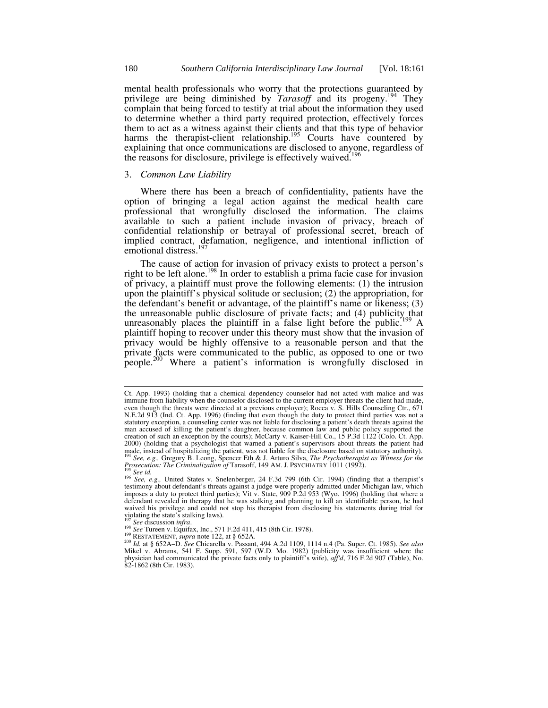mental health professionals who worry that the protections guaranteed by privilege are being diminished by *Tarasoff* and its progeny.<sup>194</sup> They complain that being forced to testify at trial about the information they used to determine whether a third party required protection, effectively forces them to act as a witness against their clients and that this type of behavior harms the therapist-client relationship.<sup>195</sup> Courts have countered by explaining that once communications are disclosed to anyone, regardless of the reasons for disclosure, privilege is effectively waived.<sup>196</sup>

#### 3. *Common Law Liability*

Where there has been a breach of confidentiality, patients have the option of bringing a legal action against the medical health care professional that wrongfully disclosed the information. The claims available to such a patient include invasion of privacy, breach of confidential relationship or betrayal of professional secret, breach of implied contract, defamation, negligence, and intentional infliction of emotional distress.<sup>197</sup>

The cause of action for invasion of privacy exists to protect a person's right to be left alone.<sup>198</sup> In order to establish a prima facie case for invasion of privacy, a plaintiff must prove the following elements: (1) the intrusion upon the plaintiff's physical solitude or seclusion; (2) the appropriation, for the defendant's benefit or advantage, of the plaintiff's name or likeness; (3) the unreasonable public disclosure of private facts; and (4) publicity that unreasonably places the plaintiff in a false light before the public.<sup>199</sup> A plaintiff hoping to recover under this theory must show that the invasion of privacy would be highly offensive to a reasonable person and that the private facts were communicated to the public, as opposed to one or two people.<sup>200</sup> Where a patient's information is wrongfully disclosed in

Ct. App. 1993) (holding that a chemical dependency counselor had not acted with malice and was immune from liability when the counselor disclosed to the current employer threats the client had made, even though the threats were directed at a previous employer); Rocca v. S. Hills Counseling Ctr., 671 N.E.2d 913 (Ind. Ct. App. 1996) (finding that even though the duty to protect third parties was not a statutory exception, a counseling center was not liable for disclosing a patient's death threats against the man accused of killing the patient's daughter, because common law and public policy supported the creation of such an exception by the courts); McCarty v. Kaiser-Hill Co., 15 P.3d 1122 (Colo. Ct. App. 2000) (holding that a psychologist that warned a patient's supervisors about threats the patient had made, instead of hospitalizing the patient, was not liable for the disclosure based on statutory authority). made, instead of hospitalizing the patient, was not liable for the disclosure based on statutory authority).<br><sup>194</sup> See, e.g., Gregory B. Leong, Spencer Eth & J. Arturo Silva, *The Psychotherapist as Witness for the Prosecution: The Criminalization of* Tarasoff, 149 AM. J. PSYCHIATRY 1011 (1992).<br><sup>195</sup> *See id.*<br><sup>196</sup> *See, e.g.,* United States v. Snelenberger, 24 F.3d 799 (6th Cir. 1994) (finding that a therapist's

testimony about defendant's threats against a judge were properly admitted under Michigan law, which imposes a duty to protect third parties); Vit v. State, 909 P.2d 953 (Wyo. 1996) (holding that where a defendant revealed in therapy that he was stalking and planning to kill an identifiable person, he had waived his privilege and could not stop his therapist from disclosing his statements during trial for violating the state's stalking laws).<br>
<sup>197</sup> See discussion *infra*.<br>
<sup>198</sup> See Tureen v. Equifax, Inc., 571 F.2d 411, 415 (8th Cir. 1978).

<sup>&</sup>lt;sup>197</sup> See discussion *infra*.<br><sup>198</sup> See Tureen v. Equifax, Inc., 571 F.2d 411, 415 (8th Cir. 1978).<br><sup>199</sup> RESTATEMENT, *supra* note 122, at § 652A.<br><sup>200</sup> Id. at § 652A–D. *See* Chicarella v. Passant, 494 A.2d 1109, 1114 n. physician had communicated the private facts only to plaintiff's wife), *aff'd*, 716 F.2d 907 (Table), No. 82-1862 (8th Cir. 1983).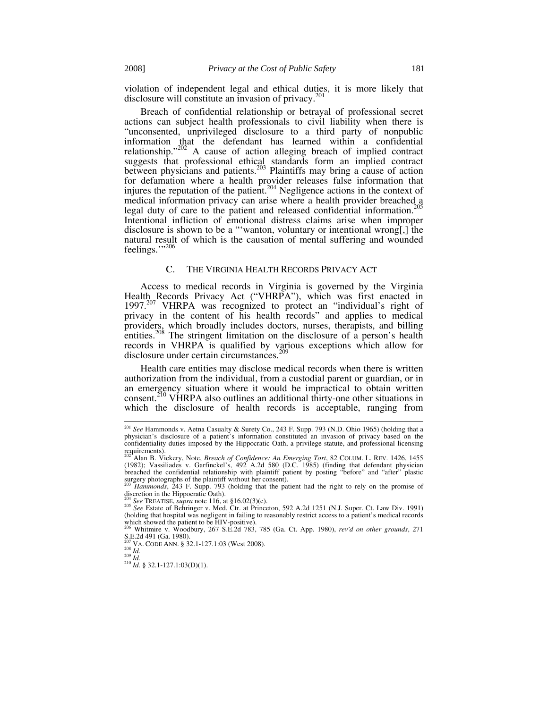violation of independent legal and ethical duties, it is more likely that disclosure will constitute an invasion of privacy.<sup>201</sup>

Breach of confidential relationship or betrayal of professional secret actions can subject health professionals to civil liability when there is "unconsented, unprivileged disclosure to a third party of nonpublic information that the defendant has learned within a confidential relationship."<sup>202</sup> A cause of action alleging breach of implied contract suggests that professional ethical standards form an implied contract between physicians and patients.<sup>203</sup> Plaintiffs may bring a cause of action for defamation where a health provider releases false information that injures the reputation of the patient.<sup>204</sup> Negligence actions in the context of medical information privacy can arise where a health provider breached a legal duty of care to the patient and released confidential information.<sup>205</sup> Intentional infliction of emotional distress claims arise when improper disclosure is shown to be a "'wanton, voluntary or intentional wrong[,] the natural result of which is the causation of mental suffering and wounded feelings."<sup>206</sup>

#### C. THE VIRGINIA HEALTH RECORDS PRIVACY ACT

Access to medical records in Virginia is governed by the Virginia Health Records Privacy Act ("VHRPA"), which was first enacted in 1997.207 VHRPA was recognized to protect an "individual's right of privacy in the content of his health records" and applies to medical providers, which broadly includes doctors, nurses, therapists, and billing entities.<sup>208</sup> The stringent limitation on the disclosure of a person's health records in VHRPA is qualified by various exceptions which allow for disclosure under certain circumstances.<sup>209</sup>

Health care entities may disclose medical records when there is written authorization from the individual, from a custodial parent or guardian, or in an emergency situation where it would be impractical to obtain written consent.<sup>210</sup> VHRPA also outlines an additional thirty-one other situations in which the disclosure of health records is acceptable, ranging from

 <sup>201</sup> *See* Hammonds v. Aetna Casualty & Surety Co., 243 F. Supp. 793 (N.D. Ohio 1965) (holding that a physician's disclosure of a patient's information constituted an invasion of privacy based on the confidentiality duties imposed by the Hippocratic Oath, a privilege statute, and professional licensing requirements).

<sup>&</sup>lt;sup>202</sup>'Alan B. Vickery, Note, *Breach of Confidence: An Emerging Tort*, 82 COLUM. L. REV. 1426, 1455 (1982); Vassiliades v. Garfinckel's, 492 A.2d 580 (D.C. 1985) (finding that defendant physician breached the confidential relationship with plaintiff patient by posting "before" and "after" plastic surgery photographs of the plaintiff without her consent). surgery photographs of the plaintiff without her consent). <sup>203</sup> *Hammonds*, 243 F. Supp. 793 (holding that the patient had the right to rely on the promise of

discretion in the Hippocratic Oath).

<sup>&</sup>lt;sup>204</sup> *See* TREATISE, *supra* note 116, at §16.02(3)(e).<br><sup>205</sup> *See* Estate of Behringer v. Med. Ctr. at Princeton, 592 A.2d 1251 (N.J. Super. Ct. Law Div. 1991) (holding that hospital was negligent in failing to reasonably restrict access to a patient's medical records which showed the patient to be HIV-positive). 206 Whitmire v. Woodbury, 267 S.E.2d 783, 785 (Ga. Ct. App. 1980), *rev'd on other grounds*, 271

S.E.2d 491 (Ga. 1980).

<sup>&</sup>lt;sup>207</sup> VA. CODE ANN. § 32.1-127.1:03 (West 2008).<br><sup>208</sup> *Id.* <sup>209</sup> *Id.* <sup>210</sup> *Id.* § 32.1-127.1:03(D)(1).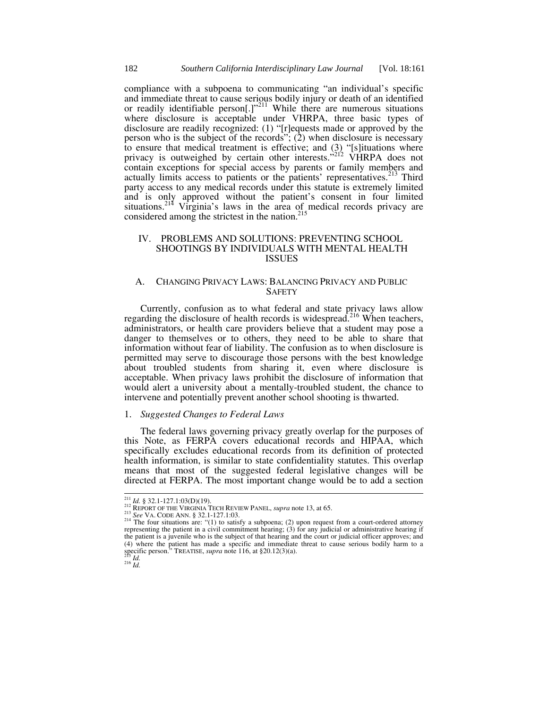compliance with a subpoena to communicating "an individual's specific and immediate threat to cause serious bodily injury or death of an identified or readily identifiable person[.]"211 While there are numerous situations where disclosure is acceptable under VHRPA, three basic types of disclosure are readily recognized: (1) "[r]equests made or approved by the person who is the subject of the records";  $(2)$  when disclosure is necessary to ensure that medical treatment is effective; and (3) "[s]ituations where privacy is outweighed by certain other interests."<sup>212</sup> VHRPA does not contain exceptions for special access by parents or family members and actually limits access to patients or the patients' representatives.<sup>213</sup> Third party access to any medical records under this statute is extremely limited and is only approved without the patient's consent in four limited situations.<sup>214</sup> Virginia's laws in the area of medical records privacy are considered among the strictest in the nation. $^{215}$ 

#### IV. PROBLEMS AND SOLUTIONS: PREVENTING SCHOOL SHOOTINGS BY INDIVIDUALS WITH MENTAL HEALTH ISSUES

### A. CHANGING PRIVACY LAWS: BALANCING PRIVACY AND PUBLIC **SAFETY**

Currently, confusion as to what federal and state privacy laws allow regarding the disclosure of health records is widespread.<sup>216</sup> When teachers, administrators, or health care providers believe that a student may pose a danger to themselves or to others, they need to be able to share that information without fear of liability. The confusion as to when disclosure is permitted may serve to discourage those persons with the best knowledge about troubled students from sharing it, even where disclosure is acceptable. When privacy laws prohibit the disclosure of information that would alert a university about a mentally-troubled student, the chance to intervene and potentially prevent another school shooting is thwarted.

#### 1. *Suggested Changes to Federal Laws*

The federal laws governing privacy greatly overlap for the purposes of this Note, as FERPA covers educational records and HIPAA, which specifically excludes educational records from its definition of protected health information, is similar to state confidentiality statutes. This overlap means that most of the suggested federal legislative changes will be directed at FERPA. The most important change would be to add a section

<sup>&</sup>lt;sup>211</sup> *Id.* § 32.1-127.1:03(D)(19).<br><sup>212</sup> REPORT OF THE VIRGINIA TECH REVIEW PANEL, *supra* note 13, at 65.<br><sup>213</sup> *See* VA. CODE ANN. § 32.1-127.1:03.<br><sup>214</sup> The four situations are: "(1) to satisfy a subpoena; (2) upon re representing the patient in a civil commitment hearing; (3) for any judicial or administrative hearing if the patient is a juvenile who is the subject of that hearing and the court or judicial officer approves; and (4) where the patient has made a specific and immediate threat to cause serious bodily harm to a specific person." TREATISE, *supra* note 116, at §20.12(3)(a). <sup>215</sup> *Id.* 2<sup>16</sup> *Id.*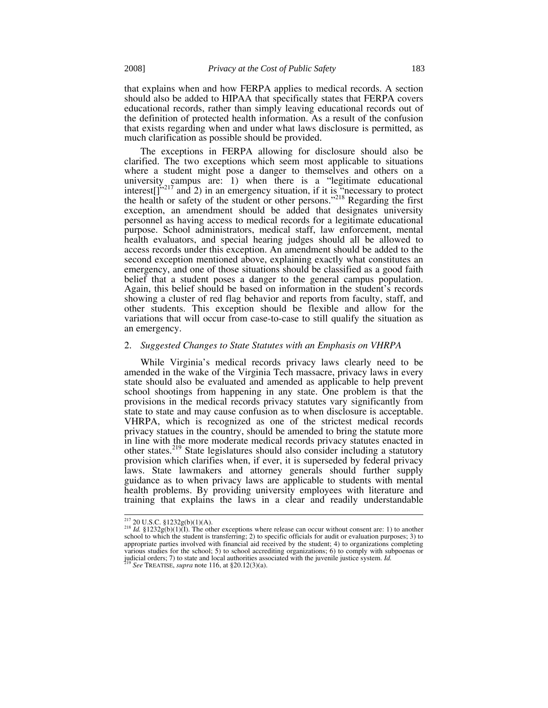that explains when and how FERPA applies to medical records. A section should also be added to HIPAA that specifically states that FERPA covers educational records, rather than simply leaving educational records out of the definition of protected health information. As a result of the confusion that exists regarding when and under what laws disclosure is permitted, as much clarification as possible should be provided.

The exceptions in FERPA allowing for disclosure should also be clarified. The two exceptions which seem most applicable to situations where a student might pose a danger to themselves and others on a university campus are: 1) when there is a "legitimate educational interest[] $"^{217}$  and 2) in an emergency situation, if it is "necessary to protect the health or safety of the student or other persons."<sup>218</sup> Regarding the first exception, an amendment should be added that designates university personnel as having access to medical records for a legitimate educational purpose. School administrators, medical staff, law enforcement, mental health evaluators, and special hearing judges should all be allowed to access records under this exception. An amendment should be added to the second exception mentioned above, explaining exactly what constitutes an emergency, and one of those situations should be classified as a good faith belief that a student poses a danger to the general campus population. Again, this belief should be based on information in the student's records showing a cluster of red flag behavior and reports from faculty, staff, and other students. This exception should be flexible and allow for the variations that will occur from case-to-case to still qualify the situation as an emergency.

#### 2. *Suggested Changes to State Statutes with an Emphasis on VHRPA*

While Virginia's medical records privacy laws clearly need to be amended in the wake of the Virginia Tech massacre, privacy laws in every state should also be evaluated and amended as applicable to help prevent school shootings from happening in any state. One problem is that the provisions in the medical records privacy statutes vary significantly from state to state and may cause confusion as to when disclosure is acceptable. VHRPA, which is recognized as one of the strictest medical records privacy statues in the country, should be amended to bring the statute more in line with the more moderate medical records privacy statutes enacted in other states.<sup>219</sup> State legislatures should also consider including a statutory provision which clarifies when, if ever, it is superseded by federal privacy laws. State lawmakers and attorney generals should further supply guidance as to when privacy laws are applicable to students with mental health problems. By providing university employees with literature and training that explains the laws in a clear and readily understandable

<sup>&</sup>lt;sup>217</sup> 20 U.S.C. §1232g(b)(1)(A).<br><sup>218</sup> *Id.* §1232g(b)(1)(I). The other exceptions where release can occur without consent are: 1) to another school to which the student is transferring; 2) to specific officials for audit or evaluation purposes; 3) to appropriate parties involved with financial aid received by the student; 4) to organizations completing various studies for the school; 5) to school accrediting organizations; 6) to comply with subpoenas or judicial orders; 7) to state and local authorities associated with the juvenile justice system. *Id.* <sup>219</sup> *See* TREATISE, *supra* note 116, at §20.12(3)(a).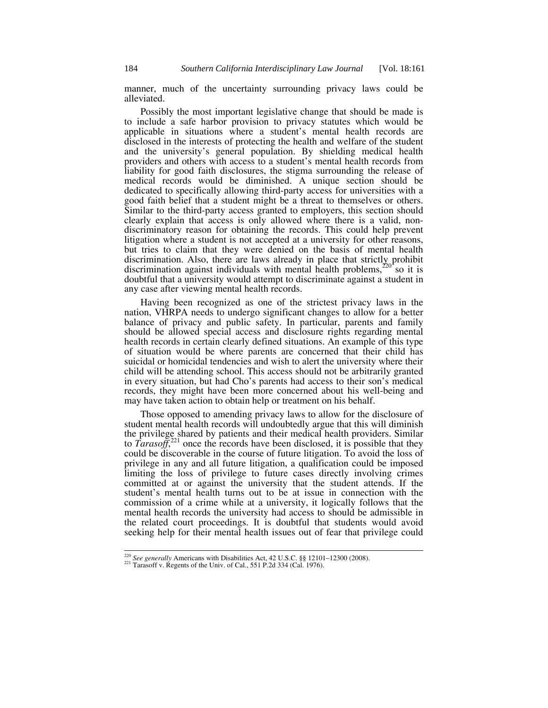manner, much of the uncertainty surrounding privacy laws could be alleviated.

Possibly the most important legislative change that should be made is to include a safe harbor provision to privacy statutes which would be applicable in situations where a student's mental health records are disclosed in the interests of protecting the health and welfare of the student and the university's general population. By shielding medical health providers and others with access to a student's mental health records from liability for good faith disclosures, the stigma surrounding the release of medical records would be diminished. A unique section should be dedicated to specifically allowing third-party access for universities with a good faith belief that a student might be a threat to themselves or others. Similar to the third-party access granted to employers, this section should clearly explain that access is only allowed where there is a valid, nondiscriminatory reason for obtaining the records. This could help prevent litigation where a student is not accepted at a university for other reasons, but tries to claim that they were denied on the basis of mental health discrimination. Also, there are laws already in place that strictly prohibit discrimination against individuals with mental health problems,<sup> $220$ </sup> so it is doubtful that a university would attempt to discriminate against a student in any case after viewing mental health records.

Having been recognized as one of the strictest privacy laws in the nation, VHRPA needs to undergo significant changes to allow for a better balance of privacy and public safety. In particular, parents and family should be allowed special access and disclosure rights regarding mental health records in certain clearly defined situations. An example of this type of situation would be where parents are concerned that their child has suicidal or homicidal tendencies and wish to alert the university where their child will be attending school. This access should not be arbitrarily granted in every situation, but had Cho's parents had access to their son's medical records, they might have been more concerned about his well-being and may have taken action to obtain help or treatment on his behalf.

Those opposed to amending privacy laws to allow for the disclosure of student mental health records will undoubtedly argue that this will diminish the privilege shared by patients and their medical health providers. Similar to  $Tarasoff$ <sup>221</sup> once the records have been disclosed, it is possible that they could be discoverable in the course of future litigation. To avoid the loss of privilege in any and all future litigation, a qualification could be imposed limiting the loss of privilege to future cases directly involving crimes committed at or against the university that the student attends. If the student's mental health turns out to be at issue in connection with the commission of a crime while at a university, it logically follows that the mental health records the university had access to should be admissible in the related court proceedings. It is doubtful that students would avoid seeking help for their mental health issues out of fear that privilege could

<sup>&</sup>lt;sup>220</sup> *See generally* Americans with Disabilities Act, 42 U.S.C. §§ 12101–12300 (2008). <sup>221</sup> Tarasoff v. Regents of the Univ. of Cal., 551 P.2d 334 (Cal. 1976).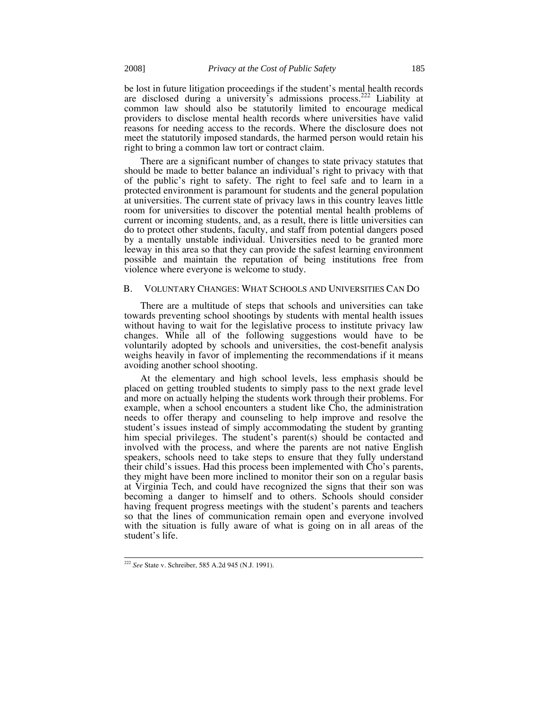be lost in future litigation proceedings if the student's mental health records are disclosed during a university's admissions process.<sup>222</sup> Liability at common law should also be statutorily limited to encourage medical providers to disclose mental health records where universities have valid reasons for needing access to the records. Where the disclosure does not meet the statutorily imposed standards, the harmed person would retain his right to bring a common law tort or contract claim.

There are a significant number of changes to state privacy statutes that should be made to better balance an individual's right to privacy with that of the public's right to safety. The right to feel safe and to learn in a protected environment is paramount for students and the general population at universities. The current state of privacy laws in this country leaves little room for universities to discover the potential mental health problems of current or incoming students, and, as a result, there is little universities can do to protect other students, faculty, and staff from potential dangers posed by a mentally unstable individual. Universities need to be granted more leeway in this area so that they can provide the safest learning environment possible and maintain the reputation of being institutions free from violence where everyone is welcome to study.

# B. VOLUNTARY CHANGES: WHAT SCHOOLS AND UNIVERSITIES CAN DO

There are a multitude of steps that schools and universities can take towards preventing school shootings by students with mental health issues without having to wait for the legislative process to institute privacy law changes. While all of the following suggestions would have to be voluntarily adopted by schools and universities, the cost-benefit analysis weighs heavily in favor of implementing the recommendations if it means avoiding another school shooting.

At the elementary and high school levels, less emphasis should be placed on getting troubled students to simply pass to the next grade level and more on actually helping the students work through their problems. For example, when a school encounters a student like Cho, the administration needs to offer therapy and counseling to help improve and resolve the student's issues instead of simply accommodating the student by granting him special privileges. The student's parent(s) should be contacted and involved with the process, and where the parents are not native English speakers, schools need to take steps to ensure that they fully understand their child's issues. Had this process been implemented with Cho's parents, they might have been more inclined to monitor their son on a regular basis at Virginia Tech, and could have recognized the signs that their son was becoming a danger to himself and to others. Schools should consider having frequent progress meetings with the student's parents and teachers so that the lines of communication remain open and everyone involved with the situation is fully aware of what is going on in all areas of the student's life.

 <sup>222</sup> *See* State v. Schreiber, 585 A.2d 945 (N.J. 1991).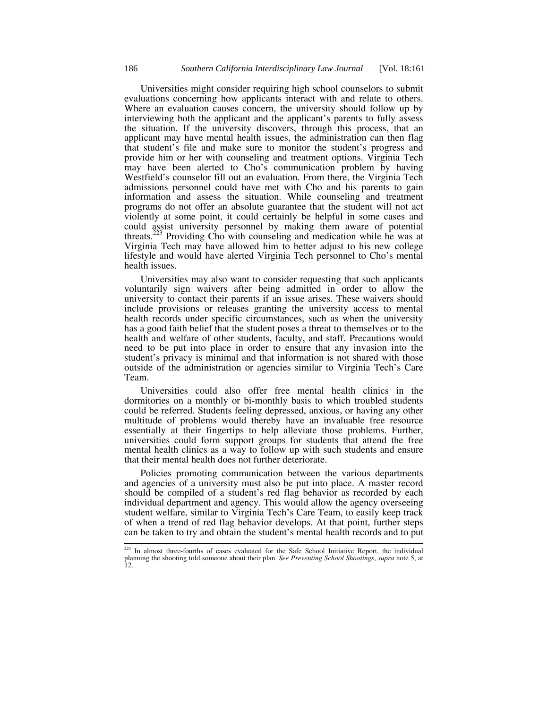Universities might consider requiring high school counselors to submit evaluations concerning how applicants interact with and relate to others. Where an evaluation causes concern, the university should follow up by interviewing both the applicant and the applicant's parents to fully assess the situation. If the university discovers, through this process, that an applicant may have mental health issues, the administration can then flag that student's file and make sure to monitor the student's progress and provide him or her with counseling and treatment options. Virginia Tech may have been alerted to Cho's communication problem by having Westfield's counselor fill out an evaluation. From there, the Virginia Tech admissions personnel could have met with Cho and his parents to gain information and assess the situation. While counseling and treatment programs do not offer an absolute guarantee that the student will not act violently at some point, it could certainly be helpful in some cases and could assist university personnel by making them aware of potential threats.<sup>223</sup> Providing Cho with counseling and medication while he was at Virginia Tech may have allowed him to better adjust to his new college lifestyle and would have alerted Virginia Tech personnel to Cho's mental health issues.

Universities may also want to consider requesting that such applicants voluntarily sign waivers after being admitted in order to allow the university to contact their parents if an issue arises. These waivers should include provisions or releases granting the university access to mental health records under specific circumstances, such as when the university has a good faith belief that the student poses a threat to themselves or to the health and welfare of other students, faculty, and staff. Precautions would need to be put into place in order to ensure that any invasion into the student's privacy is minimal and that information is not shared with those outside of the administration or agencies similar to Virginia Tech's Care Team.

Universities could also offer free mental health clinics in the dormitories on a monthly or bi-monthly basis to which troubled students could be referred. Students feeling depressed, anxious, or having any other multitude of problems would thereby have an invaluable free resource essentially at their fingertips to help alleviate those problems. Further, universities could form support groups for students that attend the free mental health clinics as a way to follow up with such students and ensure that their mental health does not further deteriorate.

Policies promoting communication between the various departments and agencies of a university must also be put into place. A master record should be compiled of a student's red flag behavior as recorded by each individual department and agency. This would allow the agency overseeing student welfare, similar to Virginia Tech's Care Team, to easily keep track of when a trend of red flag behavior develops. At that point, further steps can be taken to try and obtain the student's mental health records and to put

<sup>&</sup>lt;sup>223</sup> In almost three-fourths of cases evaluated for the Safe School Initiative Report, the individual planning the shooting told someone about their plan. *See Preventing School Shootings*, *supra* note 5, at 12.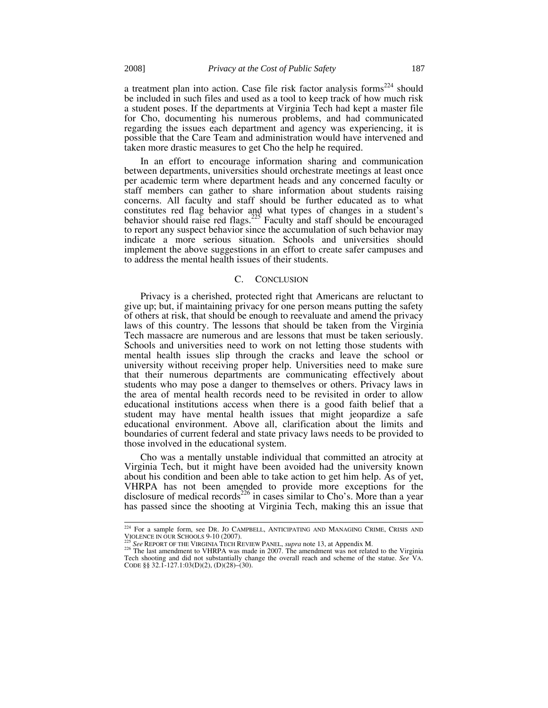a treatment plan into action. Case file risk factor analysis forms $224$  should be included in such files and used as a tool to keep track of how much risk a student poses. If the departments at Virginia Tech had kept a master file for Cho, documenting his numerous problems, and had communicated regarding the issues each department and agency was experiencing, it is possible that the Care Team and administration would have intervened and taken more drastic measures to get Cho the help he required.

In an effort to encourage information sharing and communication between departments, universities should orchestrate meetings at least once per academic term where department heads and any concerned faculty or staff members can gather to share information about students raising concerns. All faculty and staff should be further educated as to what constitutes red flag behavior and what types of changes in a student's behavior should raise red flags.<sup>225</sup> Faculty and staff should be encouraged to report any suspect behavior since the accumulation of such behavior may indicate a more serious situation. Schools and universities should implement the above suggestions in an effort to create safer campuses and to address the mental health issues of their students.

# C. CONCLUSION

Privacy is a cherished, protected right that Americans are reluctant to give up; but, if maintaining privacy for one person means putting the safety of others at risk, that should be enough to reevaluate and amend the privacy laws of this country. The lessons that should be taken from the Virginia Tech massacre are numerous and are lessons that must be taken seriously. Schools and universities need to work on not letting those students with mental health issues slip through the cracks and leave the school or university without receiving proper help. Universities need to make sure that their numerous departments are communicating effectively about students who may pose a danger to themselves or others. Privacy laws in the area of mental health records need to be revisited in order to allow educational institutions access when there is a good faith belief that a student may have mental health issues that might jeopardize a safe educational environment. Above all, clarification about the limits and boundaries of current federal and state privacy laws needs to be provided to those involved in the educational system.

Cho was a mentally unstable individual that committed an atrocity at Virginia Tech, but it might have been avoided had the university known about his condition and been able to take action to get him help. As of yet, VHRPA has not been amended to provide more exceptions for the disclosure of medical records<sup>226</sup> in cases similar to Cho's. More than a year has passed since the shooting at Virginia Tech, making this an issue that

<sup>&</sup>lt;sup>224</sup> For a sample form, see DR. JO CAMPBELL, ANTICIPATING AND MANAGING CRIME, CRISIS AND For a sample 1011ii, see DK. 30 CAINTBELL, ANTICH ATHOLOGYCAL MANUSCALE COMMENCE IN OUR SCHOOLS 9-10 (2007).<br>225 See REPORT OF THE VIRGINIA TECH REVIEW PANEL, *supra* note 13, at Appendix M.<br>226 The last amendment to VHRP

Tech shooting and did not substantially change the overall reach and scheme of the statue. *See* VA. CODE §§ 32.1-127.1:03(D)(2), (D)(28)–(30).